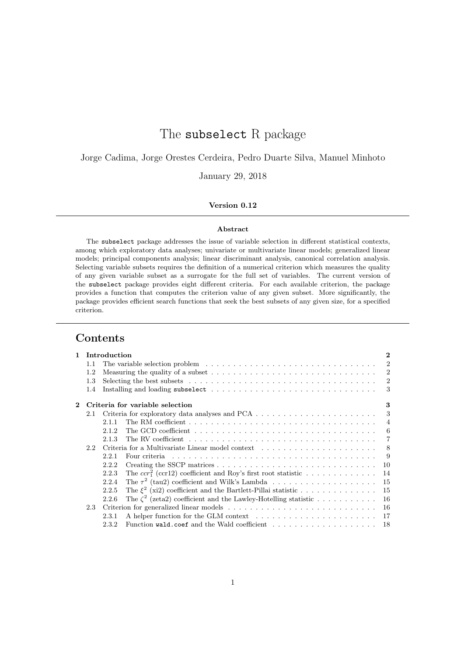# The subselect R package

Jorge Cadima, Jorge Orestes Cerdeira, Pedro Duarte Silva, Manuel Minhoto

January 29, 2018

### Version 0.12

#### Abstract

The subselect package addresses the issue of variable selection in different statistical contexts, among which exploratory data analyses; univariate or multivariate linear models; generalized linear models; principal components analysis; linear discriminant analysis, canonical correlation analysis. Selecting variable subsets requires the definition of a numerical criterion which measures the quality of any given variable subset as a surrogate for the full set of variables. The current version of the subselect package provides eight different criteria. For each available criterion, the package provides a function that computes the criterion value of any given subset. More significantly, the package provides efficient search functions that seek the best subsets of any given size, for a specified criterion.

# Contents

| 1                                                                                                                   |                                 | Introduction<br>$\bf{2}$                                                                                                      |                |  |  |  |  |  |  |  |  |
|---------------------------------------------------------------------------------------------------------------------|---------------------------------|-------------------------------------------------------------------------------------------------------------------------------|----------------|--|--|--|--|--|--|--|--|
|                                                                                                                     | 1.1                             | The variable selection problem $\ldots \ldots \ldots \ldots \ldots \ldots \ldots \ldots \ldots \ldots \ldots$                 |                |  |  |  |  |  |  |  |  |
|                                                                                                                     | 1.2                             | $\overline{2}$<br>Measuring the quality of a subset $\dots \dots \dots \dots \dots \dots \dots \dots \dots \dots \dots \dots$ |                |  |  |  |  |  |  |  |  |
|                                                                                                                     | 1.3                             | Selecting the best subsets $\dots \dots \dots \dots \dots \dots \dots \dots \dots \dots \dots \dots \dots \dots$              | $\overline{2}$ |  |  |  |  |  |  |  |  |
|                                                                                                                     | 1.4                             | Installing and loading subselect $\ldots \ldots \ldots \ldots \ldots \ldots \ldots \ldots \ldots \ldots$                      | 3              |  |  |  |  |  |  |  |  |
| $\bf{2}$                                                                                                            | Criteria for variable selection |                                                                                                                               |                |  |  |  |  |  |  |  |  |
|                                                                                                                     | 2.1                             |                                                                                                                               | 3              |  |  |  |  |  |  |  |  |
|                                                                                                                     |                                 | 2.1.1                                                                                                                         | $\overline{4}$ |  |  |  |  |  |  |  |  |
|                                                                                                                     |                                 | 2.1.2                                                                                                                         | -6             |  |  |  |  |  |  |  |  |
|                                                                                                                     |                                 | 2.1.3                                                                                                                         | $\overline{7}$ |  |  |  |  |  |  |  |  |
|                                                                                                                     | 2.2                             |                                                                                                                               |                |  |  |  |  |  |  |  |  |
| Four criteria $\ldots \ldots \ldots \ldots \ldots \ldots \ldots \ldots \ldots \ldots \ldots \ldots \ldots$<br>2.2.1 |                                 |                                                                                                                               |                |  |  |  |  |  |  |  |  |
|                                                                                                                     |                                 | 2.2.2<br>10                                                                                                                   |                |  |  |  |  |  |  |  |  |
|                                                                                                                     |                                 | The $ccr_1^2$ (ccr12) coefficient and Roy's first root statistic<br>14<br>2.2.3                                               |                |  |  |  |  |  |  |  |  |
|                                                                                                                     |                                 | The $\tau^2$ (tau2) coefficient and Wilk's Lambda<br>2.2.4<br>15                                                              |                |  |  |  |  |  |  |  |  |
|                                                                                                                     |                                 | The $\xi^2$ (xi2) coefficient and the Bartlett-Pillai statistic<br>2.2.5<br>15                                                |                |  |  |  |  |  |  |  |  |
|                                                                                                                     |                                 | The $\zeta^2$ (zeta2) coefficient and the Lawley-Hotelling statistic<br>16<br>2.2.6                                           |                |  |  |  |  |  |  |  |  |
|                                                                                                                     | 2.3                             | -16                                                                                                                           |                |  |  |  |  |  |  |  |  |
|                                                                                                                     |                                 | 2.3.1                                                                                                                         |                |  |  |  |  |  |  |  |  |
|                                                                                                                     |                                 | 2.3.2                                                                                                                         |                |  |  |  |  |  |  |  |  |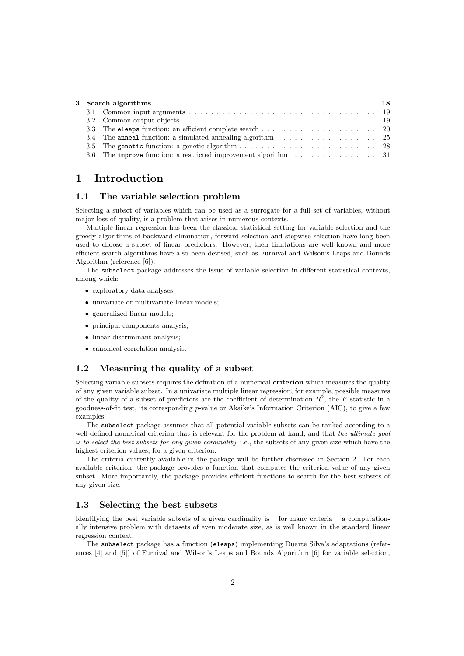|  | 3 Search algorithms                                                                          |  |  |  |  |  |  |  |
|--|----------------------------------------------------------------------------------------------|--|--|--|--|--|--|--|
|  |                                                                                              |  |  |  |  |  |  |  |
|  |                                                                                              |  |  |  |  |  |  |  |
|  |                                                                                              |  |  |  |  |  |  |  |
|  | 3.4 The anneal function: a simulated annealing algorithm 25                                  |  |  |  |  |  |  |  |
|  |                                                                                              |  |  |  |  |  |  |  |
|  | 3.6 The improve function: a restricted improvement algorithm $\dots \dots \dots \dots \dots$ |  |  |  |  |  |  |  |

# 1 Introduction

### 1.1 The variable selection problem

Selecting a subset of variables which can be used as a surrogate for a full set of variables, without major loss of quality, is a problem that arises in numerous contexts.

Multiple linear regression has been the classical statistical setting for variable selection and the greedy algorithms of backward elimination, forward selection and stepwise selection have long been used to choose a subset of linear predictors. However, their limitations are well known and more efficient search algorithms have also been devised, such as Furnival and Wilson's Leaps and Bounds Algorithm (reference [6]).

The subselect package addresses the issue of variable selection in different statistical contexts, among which:

- exploratory data analyses;
- univariate or multivariate linear models;
- generalized linear models;
- principal components analysis;
- linear discriminant analysis;
- canonical correlation analysis.

### 1.2 Measuring the quality of a subset

Selecting variable subsets requires the definition of a numerical **criterion** which measures the quality of any given variable subset. In a univariate multiple linear regression, for example, possible measures of the quality of a subset of predictors are the coefficient of determination  $R^2$ , the F statistic in a goodness-of-fit test, its corresponding  $p$ -value or Akaike's Information Criterion (AIC), to give a few examples.

The subselect package assumes that all potential variable subsets can be ranked according to a well-defined numerical criterion that is relevant for the problem at hand, and that the ultimate goal is to select the best subsets for any given cardinality, i.e., the subsets of any given size which have the highest criterion values, for a given criterion.

The criteria currently available in the package will be further discussed in Section 2. For each available criterion, the package provides a function that computes the criterion value of any given subset. More importantly, the package provides efficient functions to search for the best subsets of any given size.

### 1.3 Selecting the best subsets

Identifying the best variable subsets of a given cardinality is  $-$  for many criteria  $-$  a computationally intensive problem with datasets of even moderate size, as is well known in the standard linear regression context.

The subselect package has a function (eleaps) implementing Duarte Silva's adaptations (references [4] and [5]) of Furnival and Wilson's Leaps and Bounds Algorithm [6] for variable selection,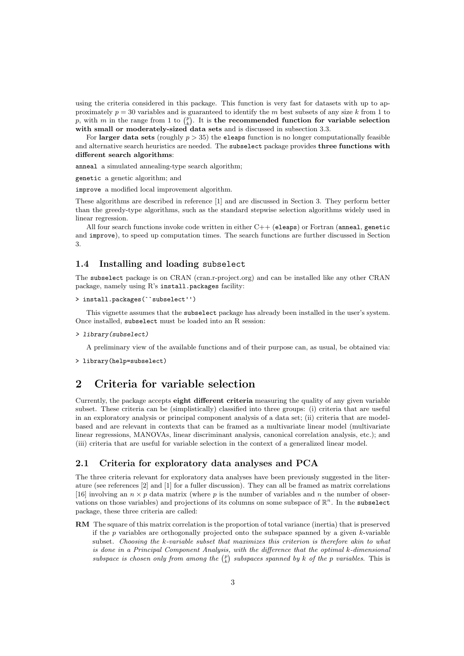using the criteria considered in this package. This function is very fast for datasets with up to approximately  $p = 30$  variables and is guaranteed to identify the m best subsets of any size k from 1 to p, with m in the range from 1 to  $\binom{p}{k}$ . It is the recommended function for variable selection with small or moderately-sized data sets and is discussed in subsection 3.3.

For larger data sets (roughly  $p > 35$ ) the eleaps function is no longer computationally feasible and alternative search heuristics are needed. The subselect package provides three functions with different search algorithms:

anneal a simulated annealing-type search algorithm;

genetic a genetic algorithm; and

improve a modified local improvement algorithm.

These algorithms are described in reference [1] and are discussed in Section 3. They perform better than the greedy-type algorithms, such as the standard stepwise selection algorithms widely used in linear regression.

All four search functions invoke code written in either  $C++$  (eleaps) or Fortran (anneal, genetic and improve), to speed up computation times. The search functions are further discussed in Section 3.

### 1.4 Installing and loading subselect

The subselect package is on CRAN (cran.r-project.org) and can be installed like any other CRAN package, namely using R's install.packages facility:

```
> install.packages(``subselect'')
```
This vignette assumes that the subselect package has already been installed in the user's system. Once installed, subselect must be loaded into an R session:

> library(subselect)

A preliminary view of the available functions and of their purpose can, as usual, be obtained via:

> library(help=subselect)

# 2 Criteria for variable selection

Currently, the package accepts eight different criteria measuring the quality of any given variable subset. These criteria can be (simplistically) classified into three groups: (i) criteria that are useful in an exploratory analysis or principal component analysis of a data set; (ii) criteria that are modelbased and are relevant in contexts that can be framed as a multivariate linear model (multivariate linear regressions, MANOVAs, linear discriminant analysis, canonical correlation analysis, etc.); and (iii) criteria that are useful for variable selection in the context of a generalized linear model.

### 2.1 Criteria for exploratory data analyses and PCA

The three criteria relevant for exploratory data analyses have been previously suggested in the literature (see references [2] and [1] for a fuller discussion). They can all be framed as matrix correlations [16] involving an  $n \times p$  data matrix (where p is the number of variables and n the number of observations on those variables) and projections of its columns on some subspace of  $\mathbb{R}^n$ . In the subselect package, these three criteria are called:

RM The square of this matrix correlation is the proportion of total variance (inertia) that is preserved if the  $p$  variables are orthogonally projected onto the subspace spanned by a given  $k$ -variable subset. Choosing the k-variable subset that maximizes this criterion is therefore akin to what is done in a Principal Component Analysis, with the difference that the optimal k-dimensional subspace is chosen only from among the  $\binom{p}{k}$  subspaces spanned by k of the p variables. This is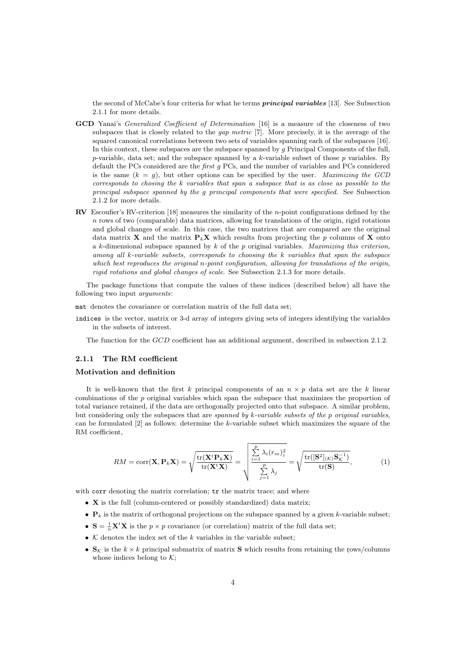the second of McCabe's four criteria for what he terms *principal variables* [13]. See Subsection 2.1.1 for more details.

- GCD Yanai's *Generalized Coefficient of Determination* [16] is a measure of the closeness of two subspaces that is closely related to the *gap metric* [7]. More precisely, it is the average of the squared canonical correlations between two sets of variables spanning each of the subspaces [16]. In this context, these subspaces are the subspace spanned by  $g$  Principal Components of the full,  $p$ -variable, data set; and the subspace spanned by a  $k$ -variable subset of those  $p$  variables. By default the PCs considered are the *first g* PCs, and the number of variables and PCs considered is the same  $(k = q)$ , but other options can be specified by the user. Maximizing the GCD corresponds to chosing the k variables that span a subspace that is as close as possible to the principal subspace spanned by the g principal components that were specified. See Subsection 2.1.2 for more details.
- **RV** Escoufier's RV-criterion [18] measures the similarity of the *n*-point configurations defined by the  $n$  rows of two (comparable) data matrices, allowing for translations of the origin, rigid rotations and global changes of scale. In this case, the two matrices that are compared are the original data matrix **X** and the matrix  $P_kX$  which results from projecting the p columns of X onto a k-dimensional subspace spanned by  $k$  of the  $p$  original variables. Maximizing this criterion, among all k-variable subsets, corresponds to choosing the k variables that span the subspace which best reproduces the original n-point configuration, allowing for translations of the origin, rigid rotations and global changes of scale. See Subsection 2.1.3 for more details.

The package functions that compute the values of these indices (described below) all have the following two input arguments:

mat denotes the covariance or correlation matrix of the full data set;

indices is the vector, matrix or 3-d array of integers giving sets of integers identifying the variables in the subsets of interest.

The function for the GCD coefficient has an additional argument, described in subsection 2.1.2.

### 2.1.1 The RM coefficient

### Motivation and definition

It is well-known that the first k principal components of an  $n \times p$  data set are the k linear combinations of the  $p$  original variables which span the subspace that maximizes the proportion of total variance retained, if the data are orthogonally projected onto that subspace. A similar problem, but considering only the subspaces that are spanned by k-variable subsets of the p original variables, can be formulated  $[2]$  as follows: determine the k-variable subset which maximizes the square of the RM coefficient,

$$
RM = \text{corr}(\mathbf{X}, \mathbf{P}_k \mathbf{X}) = \sqrt{\frac{\text{tr}(\mathbf{X}^t \mathbf{P}_k \mathbf{X})}{\text{tr}(\mathbf{X}^t \mathbf{X})}} = \sqrt{\frac{\sum_{i=1}^p \lambda_i (r_m)_i^2}{\sum_{j=1}^p \lambda_j}} = \sqrt{\frac{\text{tr}([\mathbf{S}^2]_{(\mathcal{K})} \mathbf{S}_{\mathcal{K}}^{-1})}{\text{tr}(\mathbf{S})}},\tag{1}
$$

with corr denoting the matrix correlation;  $\mathbf{tr}$  the matrix trace; and where

- X is the full (column-centered or possibly standardized) data matrix;
- $P_k$  is the matrix of orthogonal projections on the subspace spanned by a given k-variable subset;
- $S = \frac{1}{n}X^t X$  is the  $p \times p$  covariance (or correlation) matrix of the full data set;
- $K$  denotes the index set of the k variables in the variable subset;
- $\mathbf{S}_{\mathcal{K}}$  is the  $k \times k$  principal submatrix of matrix **S** which results from retaining the rows/columns whose indices belong to  $K$ ;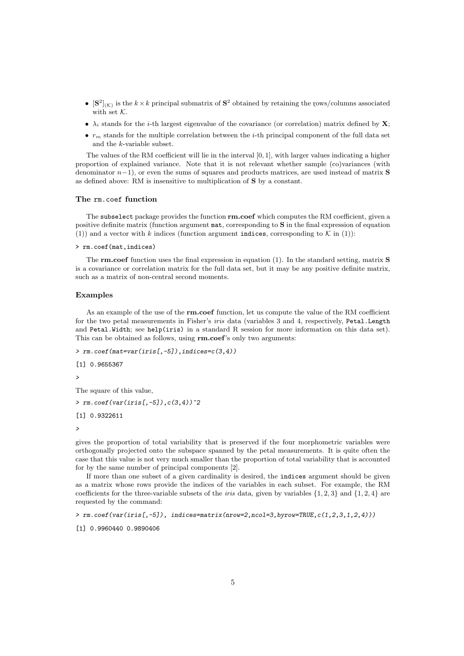- $[\mathbf{S}^2]_{(\mathcal{K})}$  is the  $k \times k$  principal submatrix of  $\mathbf{S}^2$  obtained by retaining the rows/columns associated with set  $K$ .
- $\lambda_i$  stands for the *i*-th largest eigenvalue of the covariance (or correlation) matrix defined by **X**;
- $r<sub>m</sub>$  stands for the multiple correlation between the *i*-th principal component of the full data set and the k-variable subset.

The values of the RM coefficient will lie in the interval  $[0, 1]$ , with larger values indicating a higher proportion of explained variance. Note that it is not relevant whether sample (co)variances (with denominator  $n-1$ ), or even the sums of squares and products matrices, are used instead of matrix S as defined above: RM is insensitive to multiplication of S by a constant.

#### The rm.coef function

The subselect package provides the function  $rm.coef$  which computes the RM coefficient, given a positive definite matrix (function argument mat, corresponding to S in the final expression of equation (1)) and a vector with k indices (function argument indices, corresponding to  $K$  in (1)):

> rm.coef(mat,indices)

The **rm.coef** function uses the final expression in equation (1). In the standard setting, matrix **S** is a covariance or correlation matrix for the full data set, but it may be any positive definite matrix, such as a matrix of non-central second moments.

### Examples

As an example of the use of the **rm.coef** function, let us compute the value of the RM coefficient for the two petal measurements in Fisher's *iris* data (variables 3 and 4, respectively, Petal.Length and Petal.Width; see help(iris) in a standard R session for more information on this data set). This can be obtained as follows, using rm.coef's only two arguments:

```
> rm.coef(mat=var(iris[,-5]),indices=c(3,4))
```

```
[1] 0.9655367
```
 $\ddot{\phantom{1}}$ 

The square of this value,

 $> rm.coef(var(iris[, -5]), c(3,4))$ <sup>2</sup>

[1] 0.9322611

>

gives the proportion of total variability that is preserved if the four morphometric variables were orthogonally projected onto the subspace spanned by the petal measurements. It is quite often the case that this value is not very much smaller than the proportion of total variability that is accounted for by the same number of principal components [2].

If more than one subset of a given cardinality is desired, the indices argument should be given as a matrix whose rows provide the indices of the variables in each subset. For example, the RM coefficients for the three-variable subsets of the *iris* data, given by variables  $\{1, 2, 3\}$  and  $\{1, 2, 4\}$  are requested by the command:

> rm.coef(var(iris[,-5]), indices=matrix(nrow=2,ncol=3,byrow=TRUE,c(1,2,3,1,2,4)))

[1] 0.9960440 0.9890406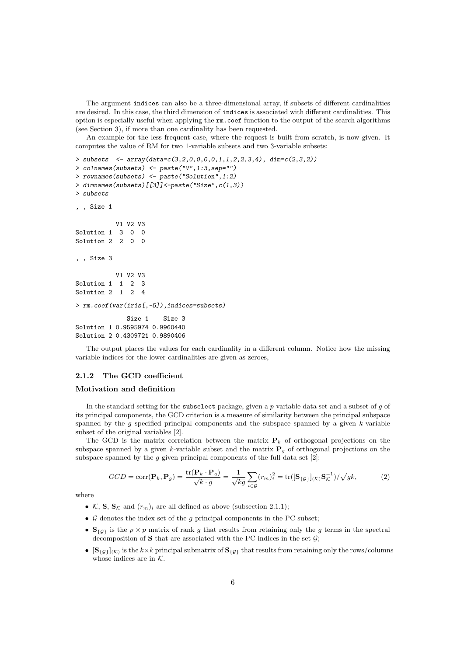The argument indices can also be a three-dimensional array, if subsets of different cardinalities are desired. In this case, the third dimension of indices is associated with different cardinalities. This option is especially useful when applying the rm.coef function to the output of the search algorithms (see Section 3), if more than one cardinality has been requested.

An example for the less frequent case, where the request is built from scratch, is now given. It computes the value of RM for two 1-variable subsets and two 3-variable subsets:

```
> subsets \leq array(data=c(3,2,0,0,0,0,1,1,2,2,3,4), dim=c(2,3,2))
> colnames(subsets) <- paste("V",1:3,sep="")
> rownames(subsets) <- paste("Solution",1:2)
> dimnames(subsets)[[3]]<-paste("Size",c(1,3))
> subsets
, , Size 1
          V1 V2 V3
Solution 1 3 0 0
Solution 2 2 0 0
, , Size 3
           V1 V2 V3
Solution 1 1 2 3
Solution 2 1 2 4
> rm.coef(var(iris[,-5]),indices=subsets)
             Size 1 Size 3
Solution 1 0.9595974 0.9960440
Solution 2 0.4309721 0.9890406
```
The output places the values for each cardinality in a different column. Notice how the missing variable indices for the lower cardinalities are given as zeroes,

### 2.1.2 The GCD coefficient

### Motivation and definition

In the standard setting for the subselect package, given a  $p$ -variable data set and a subset of  $q$  of its principal components, the GCD criterion is a measure of similarity between the principal subspace spanned by the  $g$  specified principal components and the subspace spanned by a given  $k$ -variable subset of the original variables [2].

The GCD is the matrix correlation between the matrix  $P_k$  of orthogonal projections on the subspace spanned by a given k-variable subset and the matrix  $P_g$  of orthogonal projections on the subspace spanned by the  $g$  given principal components of the full data set  $[2]$ :

$$
GCD = \text{corr}(\mathbf{P}_k, \mathbf{P}_g) = \frac{\text{tr}(\mathbf{P}_k \cdot \mathbf{P}_g)}{\sqrt{k \cdot g}} = \frac{1}{\sqrt{kg}} \sum_{i \in \mathcal{G}} (r_m)_i^2 = \text{tr}([\mathbf{S}_{\{\mathcal{G}\}}]_{(\mathcal{K})} \mathbf{S}_{\mathcal{K}}^{-1}) / \sqrt{g k},\tag{2}
$$

where

- K, S,  $S_K$  and  $(r_m)_i$  are all defined as above (subsection 2.1.1);
- $\mathcal G$  denotes the index set of the  $q$  principal components in the PC subset;
- $S_{\{\mathcal{G}\}}$  is the  $p \times p$  matrix of rank g that results from retaining only the g terms in the spectral decomposition of  $S$  that are associated with the PC indices in the set  $G$ ;
- $[\mathbf{S}_{\{\mathcal{G}\}}](\kappa)$  is the  $k\times k$  principal submatrix of  $\mathbf{S}_{\{\mathcal{G}\}}$  that results from retaining only the rows/columns whose indices are in  $K$ .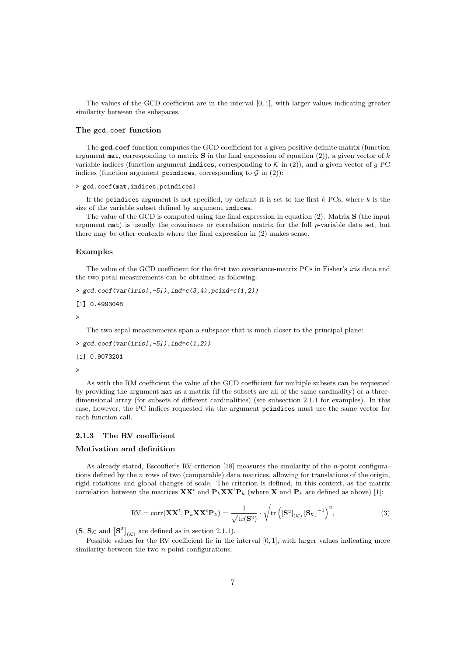The values of the GCD coefficient are in the interval  $[0, 1]$ , with larger values indicating greater similarity between the subspaces.

#### The gcd.coef function

The gcd.coef function computes the GCD coefficient for a given positive definite matrix (function argument mat, corresponding to matrix  $S$  in the final expression of equation (2)), a given vector of k variable indices (function argument indices, corresponding to  $K$  in (2)), and a given vector of g PC indices (function argument pcindices, corresponding to  $G$  in (2)):

#### > gcd.coef(mat,indices,pcindices)

If the pcindices argument is not specified, by default it is set to the first  $k$  PCs, where  $k$  is the size of the variable subset defined by argument indices.

The value of the GCD is computed using the final expression in equation (2). Matrix S (the input argument mat) is usually the covariance or correlation matrix for the full p-variable data set, but there may be other contexts where the final expression in (2) makes sense.

### Examples

The value of the GCD coefficient for the first two covariance-matrix PCs in Fisher's *iris* data and the two petal measurements can be obtained as following:

```
> gcd.coef(var(iris[, -5]), ind=c(3,4), pcind=c(1,2))
```

```
[1] 0.4993048
```
>

The two sepal measurements span a subspace that is much closer to the principal plane:

 $> \text{gcd.coeff}(\text{var}(iris[, -5]), ind=c(1,2))$ 

[1] 0.9073201

>

As with the RM coefficient the value of the GCD coefficient for multiple subsets can be requested by providing the argument mat as a matrix (if the subsets are all of the same cardinality) or a threedimensional array (for subsets of different cardinalities) (see subsection 2.1.1 for examples). In this case, however, the PC indices requested via the argument pcindices must use the same vector for each function call.

### 2.1.3 The RV coefficient

### Motivation and definition

As already stated, Escoufier's RV-criterion [18] measures the similarity of the n-point configurations defined by the n rows of two (comparable) data matrices, allowing for translations of the origin, rigid rotations and global changes of scale. The criterion is defined, in this context, as the matrix correlation between the matrices  $\mathbf{X} \mathbf{X}^t$  and  $\mathbf{P}_k \mathbf{X} \mathbf{X}^t \mathbf{P}_k$  (where  $\mathbf{X}$  and  $\mathbf{P}_k$  are defined as above) [1]:

$$
RV = corr(\mathbf{XX}^t, \mathbf{P}_k \mathbf{XX}^t \mathbf{P}_k) = \frac{1}{\sqrt{tr(\mathbf{S}^2)}} \cdot \sqrt{tr\left( [\mathbf{S}^2]_{(K)} [\mathbf{S}_k]^{-1} \right)^2},
$$
(3)

 $(\mathbf{S}, \mathbf{S}_{\mathcal{K}} \text{ and } [\mathbf{S}^2]_{(\mathcal{K})}$  are defined as in section 2.1.1).

Possible values for the RV coefficient lie in the interval  $[0, 1]$ , with larger values indicating more similarity between the two *n*-point configurations.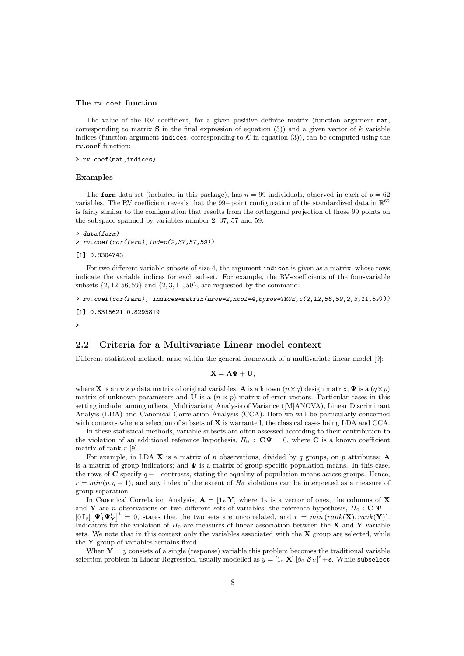#### The rv.coef function

The value of the RV coefficient, for a given positive definite matrix (function argument mat, corresponding to matrix **S** in the final expression of equation (3)) and a given vector of k variable indices (function argument indices, corresponding to  $K$  in equation (3)), can be computed using the rv.coef function:

> rv.coef(mat,indices)

### Examples

The farm data set (included in this package), has  $n = 99$  individuals, observed in each of  $p = 62$ variables. The RV coefficient reveals that the 99-point configuration of the standardized data in  $\mathbb{R}^{62}$ is fairly similar to the configuration that results from the orthogonal projection of those 99 points on the subspace spanned by variables number 2, 37, 57 and 59:

```
> data(farm)
> rv.coef(cor(farm),ind=c(2,37,57,59))
```

```
[1] 0.8304743
```
For two different variable subsets of size 4, the argument indices is given as a matrix, whose rows indicate the variable indices for each subset. For example, the RV-coefficients of the four-variable subsets  $\{2, 12, 56, 59\}$  and  $\{2, 3, 11, 59\}$ , are requested by the command:

> rv.coef(cor(farm), indices=matrix(nrow=2,ncol=4,byrow=TRUE,c(2,12,56,59,2,3,11,59)))

```
[1] 0.8315621 0.8295819
```
>

### 2.2 Criteria for a Multivariate Linear model context

Different statistical methods arise within the general framework of a multivariate linear model [9]:

$$
\mathbf{X} = \mathbf{A}\Psi + \mathbf{U},
$$

where **X** is an  $n \times p$  data matrix of original variables, **A** is a known  $(n \times q)$  design matrix,  $\Psi$  is a  $(q \times p)$ matrix of unknown parameters and U is a  $(n \times p)$  matrix of error vectors. Particular cases in this setting include, among others, [Multivariate] Analysis of Variance ([M]ANOVA), Linear Discriminant Analyis (LDA) and Canonical Correlation Analysis (CCA). Here we will be particularly concerned with contexts where a selection of subsets of X is warranted, the classical cases being LDA and CCA.

In these statistical methods, variable subsets are often assessed according to their contribution to the violation of an additional reference hypothesis,  $H_0 : \mathbf{C} \Psi = 0$ , where **C** is a known coefficient matrix of rank  $r$  [9].

For example, in LDA  $\bf{X}$  is a matrix of n observations, divided by q groups, on p attributes;  $\bf{A}$ is a matrix of group indicators; and  $\Psi$  is a matrix of group-specific population means. In this case, the rows of C specify  $q-1$  contrasts, stating the equality of population means across groups. Hence,  $r = min(p, q - 1)$ , and any index of the extent of  $H_0$  violations can be interpreted as a measure of group separation.

In Canonical Correlation Analysis,  $\mathbf{A} = [\mathbf{1}_n \mathbf{Y}]$  where  $\mathbf{1}_n$  is a vector of ones, the columns of **X** and Y are n observations on two different sets of variables, the reference hypothesis,  $H_0$ : C  $\Psi$  =  $[0 I_q] \left[ \Psi_0^t \Psi_Y^t \right]^t = 0$ , states that the two sets are uncorrelated, and  $r = min(rank(\mathbf{X}), rank(\mathbf{Y}))$ . Indicators for the violation of  $H_0$  are measures of linear association between the X and Y variable sets. We note that in this context only the variables associated with the  $X$  group are selected, while the Y group of variables remains fixed.

When  $Y = y$  consists of a single (response) variable this problem becomes the traditional variable selection problem in Linear Regression, usually modelled as  $y=[1_n \textbf{X}]\left[\beta_0 \textbf{ \textit{B}}_X\right]^t + \epsilon$ . While subselect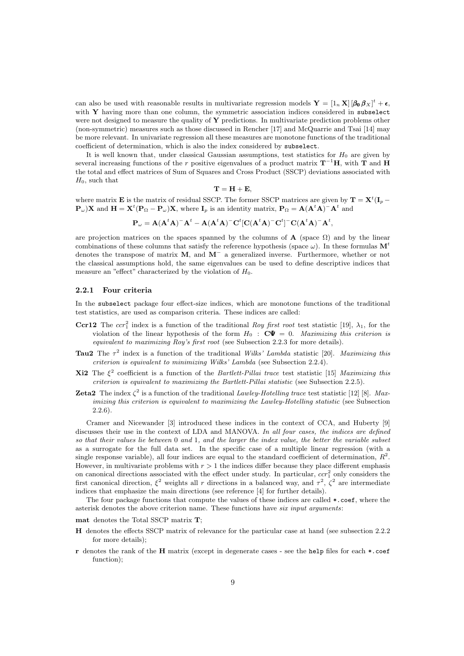can also be used with reasonable results in multivariate regression models  $\mathbf{Y} = \left[1_n \mathbf{X}\right] \left[\beta_0 \beta_X\right]^t + \epsilon$ , with  $Y$  having more than one column, the symmetric association indices considered in subselect were not designed to measure the quality of  $\bf{Y}$  predictions. In multivariate prediction problems other (non-symmetric) measures such as those discussed in Rencher [17] and McQuarrie and Tsai [14] may be more relevant. In univariate regression all these measures are monotone functions of the traditional coefficient of determination, which is also the index considered by subselect.

It is well known that, under classical Gaussian assumptions, test statistics for  $H_0$  are given by several increasing functions of the r positive eigenvalues of a product matrix  $T^{-1}H$ , with T and H the total and effect matrices of Sum of Squares and Cross Product (SSCP) deviations associated with  $H_0$ , such that

$$
\mathbf{T} = \mathbf{H} + \mathbf{E},
$$

where matrix **E** is the matrix of residual SSCP. The former SSCP matrices are given by  $T = X^t(I_p - I_p)$  $(\mathbf{P}_{\omega})\mathbf{X}$  and  $\mathbf{H} = \mathbf{X}^t(\mathbf{P}_{\Omega} - \mathbf{P}_{\omega})\mathbf{X}$ , where  $\mathbf{I}_p$  is an identity matrix,  $\mathbf{P}_{\Omega} = \mathbf{A}(\mathbf{A}^t\mathbf{A})^{-} \mathbf{A}^t$  and

$$
\mathbf{P}_{\omega} = \mathbf{A} (\mathbf{A}^t \mathbf{A})^- \mathbf{A}^t - \mathbf{A} (\mathbf{A}^t \mathbf{A})^- \mathbf{C}^t [\mathbf{C} (\mathbf{A}^t \mathbf{A})^- \mathbf{C}^t]^- \mathbf{C} (\mathbf{A}^t \mathbf{A})^- \mathbf{A}^t,
$$

are projection matrices on the spaces spanned by the columns of  $\bf{A}$  (space  $\Omega$ ) and by the linear combinations of these columns that satisfy the reference hypothesis (space  $\omega$ ). In these formulas  $M<sup>t</sup>$ denotes the transpose of matrix M, and M<sup>−</sup> a generalized inverse. Furthermore, whether or not the classical assumptions hold, the same eigenvalues can be used to define descriptive indices that measure an "effect" characterized by the violation of  $H_0$ .

#### 2.2.1 Four criteria

In the subselect package four effect-size indices, which are monotone functions of the traditional test statistics, are used as comparison criteria. These indices are called:

- **Ccr12** The  $ccr_1^2$  index is a function of the traditional Roy first root test statistic [19],  $\lambda_1$ , for the violation of the linear hypothesis of the form  $H_0$  :  $C\Psi = 0$ . Maximizing this criterion is equivalent to maximizing Roy's first root (see Subsection 2.2.3 for more details).
- **Tau2** The  $\tau^2$  index is a function of the traditional Wilks' Lambda statistic [20]. Maximizing this criterion is equivalent to minimizing Wilks' Lambda (see Subsection 2.2.4).
- **Xi2** The  $\xi^2$  coefficient is a function of the Bartlett-Pillai trace test statistic [15] Maximizing this criterion is equivalent to maximizing the Bartlett-Pillai statistic (see Subsection 2.2.5).
- **Zeta2** The index  $\zeta^2$  is a function of the traditional Lawley-Hotelling trace test statistic [12] [8]. Maximizing this criterion is equivalent to maximizing the Lawley-Hotelling statistic (see Subsection 2.2.6).

Cramer and Nicewander [3] introduced these indices in the context of CCA, and Huberty [9] discusses their use in the context of LDA and MANOVA. In all four cases, the indices are defined so that their values lie between 0 and 1, and the larger the index value, the better the variable subset as a surrogate for the full data set. In the specific case of a multiple linear regression (with a single response variable), all four indices are equal to the standard coefficient of determination,  $R^2$ . However, in multivariate problems with  $r > 1$  the indices differ because they place different emphasis on canonical directions associated with the effect under study. In particular,  $ccr_1^2$  only considers the first canonical direction,  $\xi^2$  weights all r directions in a balanced way, and  $\tau^2$ ,  $\zeta^2$  are intermediate indices that emphasize the main directions (see reference [4] for further details).

The four package functions that compute the values of these indices are called \*.coef, where the asterisk denotes the above criterion name. These functions have six input arguments:

mat denotes the Total SSCP matrix T;

- H denotes the effects SSCP matrix of relevance for the particular case at hand (see subsection 2.2.2 for more details);
- r denotes the rank of the H matrix (except in degenerate cases see the help files for each \*.coef function);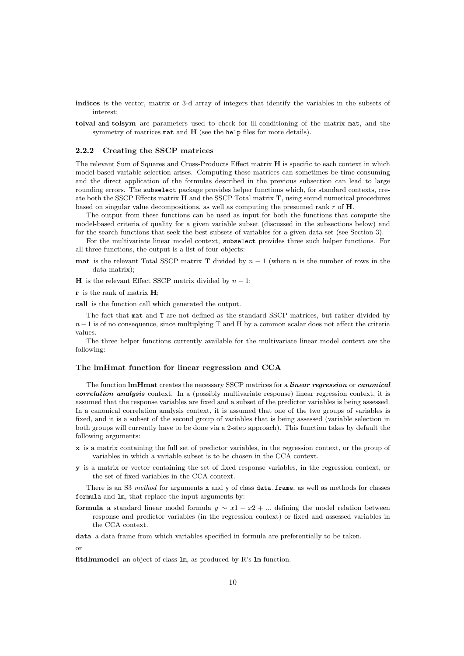- indices is the vector, matrix or 3-d array of integers that identify the variables in the subsets of interest;
- tolval and tolsym are parameters used to check for ill-conditioning of the matrix mat, and the symmetry of matrices mat and H (see the help files for more details).

#### 2.2.2 Creating the SSCP matrices

The relevant Sum of Squares and Cross-Products Effect matrix H is specific to each context in which model-based variable selection arises. Computing these matrices can sometimes be time-consuming and the direct application of the formulas described in the previous subsection can lead to large rounding errors. The subselect package provides helper functions which, for standard contexts, create both the SSCP Effects matrix  $H$  and the SSCP Total matrix  $T$ , using sound numerical procedures based on singular value decompositions, as well as computing the presumed rank  $r$  of  $H$ .

The output from these functions can be used as input for both the functions that compute the model-based criteria of quality for a given variable subset (discussed in the subsections below) and for the search functions that seek the best subsets of variables for a given data set (see Section 3).

For the multivariate linear model context, subselect provides three such helper functions. For all three functions, the output is a list of four objects:

**mat** is the relevant Total SSCP matrix **T** divided by  $n-1$  (where n is the number of rows in the data matrix);

H is the relevant Effect SSCP matrix divided by  $n-1$ ;

 $r$  is the rank of matrix  $H$ ;

call is the function call which generated the output.

The fact that mat and T are not defined as the standard SSCP matrices, but rather divided by  $n-1$  is of no consequence, since multiplying T and H by a common scalar does not affect the criteria values.

The three helper functions currently available for the multivariate linear model context are the following:

#### The lmHmat function for linear regression and CCA

The function lmHmat creates the necessary SSCP matrices for a *linear regression* or *canonical* correlation analysis context. In a (possibly multivariate response) linear regression context, it is assumed that the response variables are fixed and a subset of the predictor variables is being assessed. In a canonical correlation analysis context, it is assumed that one of the two groups of variables is fixed, and it is a subset of the second group of variables that is being assessed (variable selection in both groups will currently have to be done via a 2-step approach). This function takes by default the following arguments:

- x is a matrix containing the full set of predictor variables, in the regression context, or the group of variables in which a variable subset is to be chosen in the CCA context.
- y is a matrix or vector containing the set of fixed response variables, in the regression context, or the set of fixed variables in the CCA context.

There is an S3 method for arguments x and y of class data.frame, as well as methods for classes formula and lm, that replace the input arguments by:

formula a standard linear model formula  $y \sim x_1 + x_2 + ...$  defining the model relation between response and predictor variables (in the regression context) or fixed and assessed variables in the CCA context.

data a data frame from which variables specified in formula are preferentially to be taken.

or

fitdlmmodel an object of class lm, as produced by R's lm function.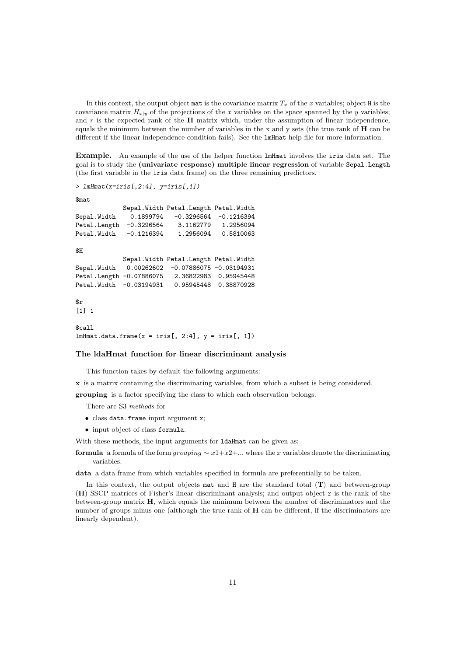In this context, the output object mat is the covariance matrix  $T_x$  of the x variables; object H is the covariance matrix  $H_{x|y}$  of the projections of the x variables on the space spanned by the y variables; and  $r$  is the expected rank of the  $H$  matrix which, under the assumption of linear independence, equals the minimum between the number of variables in the x and y sets (the true rank of  $\bf{H}$  can be different if the linear independence condition fails). See the lmHmat help file for more information.

Example. An example of the use of the helper function lmHmat involves the iris data set. The goal is to study the (univariate response) multiple linear regression of variable Sepal.Length (the first variable in the iris data frame) on the three remaining predictors.

```
> lmHmat(x=iris[,2:4], y=iris[,1])
```
\$mat

```
Sepal.Width Petal.Length Petal.Width
Sepal.Width  0.1899794 -0.3296564 -0.1216394
Petal.Length -0.3296564 3.1162779 1.2956094
Petal.Width -0.1216394 1.2956094 0.5810063
$HSepal.Width Petal.Length Petal.Width
Sepal.Width 0.00262602 -0.07886075 -0.03194931
Petal.Length -0.07886075 2.36822983 0.95945448<br>Petal.Width -0.03194931 0.95945448 0.38870928
Petal.Width -0.03194931$r
[1] 1$call
lmHmat.data frame(x = iris[, 2:4], y = iris[, 1]
```
### The ldaHmat function for linear discriminant analysis

This function takes by default the following arguments:

x is a matrix containing the discriminating variables, from which a subset is being considered.

grouping is a factor specifying the class to which each observation belongs.

There are S3 methods for

- class data.frame input argument x;
- input object of class formula.

With these methods, the input arguments for **IdaHmat** can be given as:

formula a formula of the form grouping  $\sim x1+x2+\dots$  where the x variables denote the discriminating variables.

data a data frame from which variables specified in formula are preferentially to be taken.

In this context, the output objects mat and  $H$  are the standard total  $(T)$  and between-group (H) SSCP matrices of Fisher's linear discriminant analysis; and output object r is the rank of the between-group matrix H, which equals the minimum between the number of discriminators and the number of groups minus one (although the true rank of H can be different, if the discriminators are linearly dependent).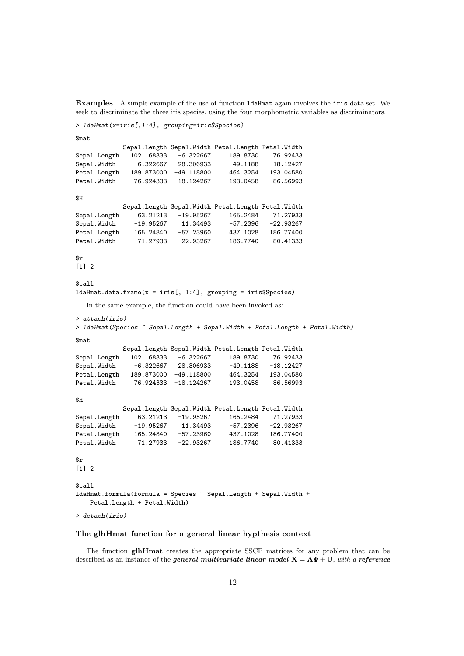Examples A simple example of the use of function ldaHmat again involves the iris data set. We seek to discriminate the three iris species, using the four morphometric variables as discriminators.

```
> ldaHmat(x=iris[,1:4], grouping=iris$Species)
```
\$mat Sepal.Length Sepal.Width Petal.Length Petal.Width Sepal.Length 102.168333 -6.322667 189.8730 76.92433 Sepal.Width -6.322667 28.306933 -49.1188 -18.12427 Petal.Length 189.873000 -49.118800 464.3254 193.04580 Petal.Width 76.924333 -18.124267 193.0458 86.56993  $$H$ Sepal.Length Sepal.Width Petal.Length Petal.Width<br>63.21213 -19.95267 165.2484 71.27933 Sepal.Length 63.21213 -19.95267 165.2484 71.27933 Sepal.Width -19.95267 11.34493 -57.2396 -22.93267<br>Petal.Length 165.24840 -57.23960 437.1028 186.77400 Petal.Length 165.24840 -57.23960 437.1028 186.77400 Petal.Width 71.27933 -22.93267 186.7740 80.41333 \$r [1] 2 \$call  $l$ daHmat.data.frame(x = iris[, 1:4], grouping = iris\$Species) In the same example, the function could have been invoked as: > attach(iris) > ldaHmat(Species ~ Sepal.Length + Sepal.Width + Petal.Length + Petal.Width) \$mat Sepal.Length Sepal.Width Petal.Length Petal.Width Sepal.Length 102.168333 -6.322667 189.8730 76.92433 Sepal.Width -6.322667 28.306933 -49.1188 -18.12427 Petal.Length 189.873000 -49.118800 464.3254 193.04580<br>Petal.Width 76.924333 -18.124267 193.0458 86.56993 Petal.Width 76.924333 -18.124267 193.0458 86.56993 \$H Sepal.Length Sepal.Width Petal.Length Petal.Width Sepal.Length 63.21213 -19.95267 165.2484 71.27933 Sepal.Width -19.95267 11.34493 -57.2396 -22.93267<br>Petal.Length 165.24840 -57.23960 437.1028 186.77400 Petal.Length 165.24840 -57.23960 437.1028 186.77400 Petal.Width 71.27933 -22.93267 186.7740 80.41333  $\mathbf{fr}$  $\lceil 1 \rceil$  2 \$call ldaHmat.formula(formula = Species ~ Sepal.Length + Sepal.Width + Petal.Length + Petal.Width) > detach(iris)

### The glhHmat function for a general linear hypthesis context

The function glhHmat creates the appropriate SSCP matrices for any problem that can be described as an instance of the *general multivariate linear model*  $X = A\Psi + U$ , with a reference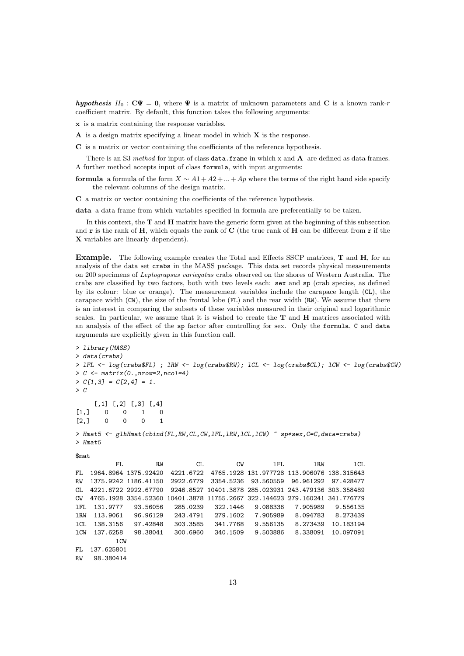hypothesis  $H_0$ :  $C\Psi = 0$ , where  $\Psi$  is a matrix of unknown parameters and C is a known rank-r coefficient matrix. By default, this function takes the following arguments:

x is a matrix containing the response variables.

- $\bf{A}$  is a design matrix specifying a linear model in which  $\bf{X}$  is the response.
- C is a matrix or vector containing the coefficients of the reference hypothesis.

There is an S3 method for input of class data.frame in which x and  $A$  are defined as data frames. A further method accepts input of class formula, with input arguments:

formula a formula of the form  $X \sim A1 + A2 + ... + Ap$  where the terms of the right hand side specify the relevant columns of the design matrix.

C a matrix or vector containing the coefficients of the reference hypothesis.

data a data frame from which variables specified in formula are preferentially to be taken.

In this context, the  $T$  and  $H$  matrix have the generic form given at the beginning of this subsection and  $\bf{r}$  is the rank of  $\bf{H}$ , which equals the rank of  $\bf{C}$  (the true rank of  $\bf{H}$  can be different from  $\bf{r}$  if the X variables are linearly dependent).

Example. The following example creates the Total and Effects SSCP matrices, T and H, for an analysis of the data set crabs in the MASS package. This data set records physical measurements on 200 specimens of Leptograpsus variegatus crabs observed on the shores of Western Australia. The crabs are classified by two factors, both with two levels each: sex and sp (crab species, as defined by its colour: blue or orange). The measurement variables include the carapace length (CL), the carapace width (CW), the size of the frontal lobe (FL) and the rear width (RW). We assume that there is an interest in comparing the subsets of these variables measured in their original and logarithmic scales. In particular, we assume that it is wished to create the T and H matrices associated with an analysis of the effect of the sp factor after controlling for sex. Only the formula, C and data arguments are explicitly given in this function call.

```
> library(MASS)
> data(crabs)
> lFL <- log(crabs$FL) ; lRW <- log(crabs$RW); lCL <- log(crabs$CL); lCW <- log(crabs$CW)
> C <- matrix(0.,nrow=2,ncol=4)
> C[1,3] = C[2,4] = 1.\geq C
    [,1] [,2] [,3] [,4]
[1,] 0 0 1 0
[2,] 0 0 0 1
> Hmat5 <- glhHmat(cbind(FL,RW,CL,CW,1FL,1RW,1CL,1CW) ~ sp*sex,C=C,data=crabs)
\sum Hmat<sub>5</sub>
$mat
          FL RW CL CW lFL lRW lCL
FL 1964.8964 1375.92420 4221.6722 4765.1928 131.977728 113.906076 138.315643
RW 1375.9242 1186.41150 2922.6779 3354.5236 93.560559 96.961292 97.428477
CL 4221.6722 2922.67790 9246.8527 10401.3878 285.023931 243.479136 303.358489
CW 4765.1928 3354.52360 10401.3878 11755.2667 322.144623 279.160241 341.776779
lFL 131.9777 93.56056 285.0239 322.1446 9.088336 7.905989 9.556135
lRW 113.9061 96.96129 243.4791 279.1602 7.905989 8.094783 8.273439
lCL 138.3156 97.42848 303.3585 341.7768 9.556135 8.273439 10.183194
lCW 137.6258 98.38041 300.6960 340.1509 9.503886 8.338091 10.097091
          lCW
FL 137.625801
RW 98.380414
```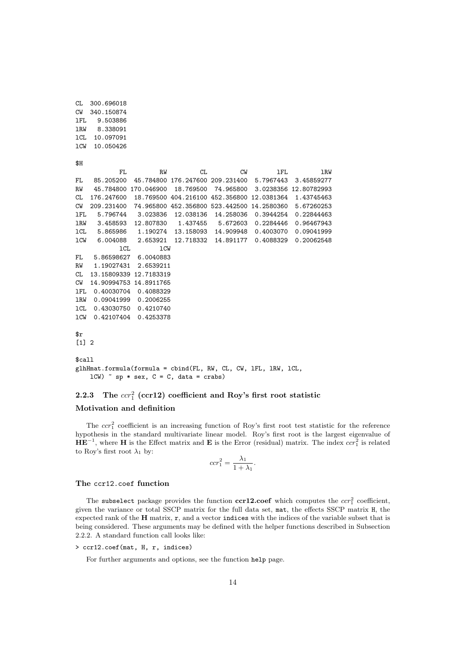```
CL 300.696018
CW 340.150874
lFL 9.503886
lRW 8.338091
lCL 10.097091
lCW 10.050426
$H$FL RW CL CW 1FL 1RW
FL 85.205200 45.784800 176.247600 209.231400 5.7967443 3.45859277
RW 45.784800 170.046900 18.769500 74.965800 3.0238356 12.80782993
CL 176.247600 18.769500 404.216100 452.356800 12.0381364 1.43745463
CW 209.231400 74.965800 452.356800 523.442500 14.2580360 5.67260253
lFL 5.796744 3.023836 12.038136 14.258036 0.3944254 0.22844463
lRW 3.458593 12.807830 1.437455 5.672603 0.2284446 0.96467943
lCL 5.865986 1.190274 13.158093 14.909948 0.4003070 0.09041999
lCW 6.004088 2.653921 12.718332 14.891177 0.4088329 0.20062548
           lCL lCW
FL 5.86598627 6.0040883
RW 1.19027431 2.6539211
CL 13.15809339 12.7183319
CW 14.90994753 14.8911765
lFL 0.40030704 0.4088329
lRW 0.09041999 0.2006255
lCL 0.43030750 0.4210740
lCW 0.42107404 0.4253378
$r
[1] 2
$call
glhHmat.formula(formula = cbind(FL, RW, CL, CW, lFL, lRW, lCL,
   lcW) \sim sp * sex, C = C, data = crabs)
```
## 2.2.3 The  $ccr_1^2$  (ccr12) coefficient and Roy's first root statistic

### Motivation and definition

The  $ccr_1^2$  coefficient is an increasing function of Roy's first root test statistic for the reference hypothesis in the standard multivariate linear model. Roy's first root is the largest eigenvalue of  $\mathbf{H} \mathbf{E}^{-1}$ , where H is the Effect matrix and E is the Error (residual) matrix. The index  $ccr_1^2$  is related to Roy's first root  $\lambda_1$  by:

$$
ccr_1^2 = \frac{\lambda_1}{1 + \lambda_1}.
$$

### The ccr12.coef function

The subselect package provides the function  $\textbf{ccr12.coef}$  which computes the  $ccr_1^2$  coefficient, given the variance or total SSCP matrix for the full data set, mat, the effects SSCP matrix H, the expected rank of the  $H$  matrix,  $r$ , and a vector indices with the indices of the variable subset that is being considered. These arguments may be defined with the helper functions described in Subsection 2.2.2. A standard function call looks like:

```
> ccr12.coef(mat, H, r, indices)
```
For further arguments and options, see the function help page.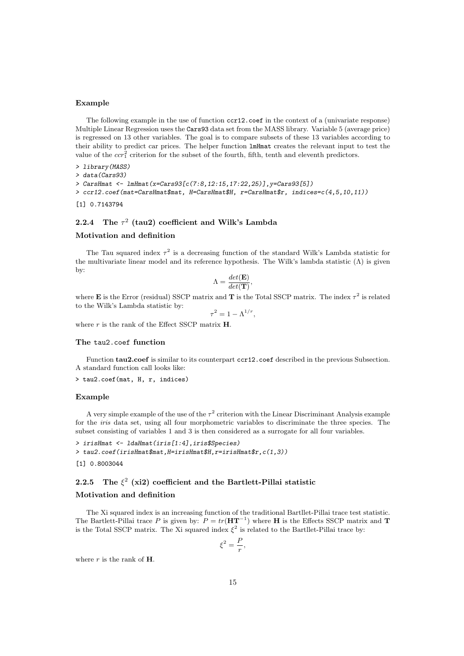### Example

The following example in the use of function  $\text{ccr12}.\text{coeff}$  in the context of a (univariate response) Multiple Linear Regression uses the Cars93 data set from the MASS library. Variable 5 (average price) is regressed on 13 other variables. The goal is to compare subsets of these 13 variables according to their ability to predict car prices. The helper function lmHmat creates the relevant input to test the value of the  $ccr_1^2$  criterion for the subset of the fourth, fifth, tenth and eleventh predictors.

```
> library(MASS)
> data(Cars93)
> CarsHmat <- lmHmat(x=Cars93[c(7:8,12:15,17:22,25)],y=Cars93[5])
> ccr12.coef(mat=CarsHmat$mat, H=CarsHmat$H, r=CarsHmat$r, indices=c(4,5,10,11))
[1] 0.7143794
```
### 2.2.4 The  $\tau^2$  (tau2) coefficient and Wilk's Lambda

#### Motivation and definition

The Tau squared index  $\tau^2$  is a decreasing function of the standard Wilk's Lambda statistic for the multivariate linear model and its reference hypothesis. The Wilk's lambda statistic  $(\Lambda)$  is given by:

$$
\Lambda = \frac{det(\mathbf{E})}{det(\mathbf{T})},
$$

where **E** is the Error (residual) SSCP matrix and **T** is the Total SSCP matrix. The index  $\tau^2$  is related to the Wilk's Lambda statistic by:

$$
\tau^2 = 1 - \Lambda^{1/r},
$$

where  $r$  is the rank of the Effect SSCP matrix  $H$ .

#### The tau2.coef function

Function tau2.coef is similar to its counterpart ccr12.coef described in the previous Subsection. A standard function call looks like:

> tau2.coef(mat, H, r, indices)

#### Example

A very simple example of the use of the  $\tau^2$  criterion with the Linear Discriminant Analysis example for the iris data set, using all four morphometric variables to discriminate the three species. The subset consisting of variables 1 and 3 is then considered as a surrogate for all four variables.

```
> irisHmat <- ldaHmat(iris[1:4],iris$Species)
> tau2.coef(irisHmat$mat,H=irisHmat$H,r=irisHmat$r,c(1,3))
```
[1] 0.8003044

### 2.2.5 The  $\xi^2$  (xi2) coefficient and the Bartlett-Pillai statistic

### Motivation and definition

The Xi squared index is an increasing function of the traditional Bartllet-Pillai trace test statistic. The Bartlett-Pillai trace P is given by:  $P = tr(\mathbf{HT}^{-1})$  where **H** is the Effects SSCP matrix and **T** is the Total SSCP matrix. The Xi squared index  $\xi^2$  is related to the Bartllet-Pillai trace by:

$$
\xi^2 = \frac{P}{r},
$$

where  $r$  is the rank of  $H$ .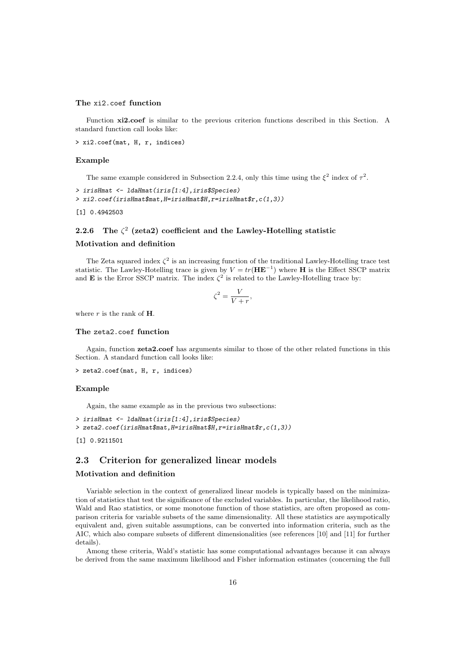#### The xi2.coef function

Function  $xi2.coef$  is similar to the previous criterion functions described in this Section. A standard function call looks like:

> xi2.coef(mat, H, r, indices)

#### Example

The same example considered in Subsection 2.2.4, only this time using the  $\xi^2$  index of  $\tau^2$ .

```
> irisHmat <- ldaHmat(iris[1:4],iris$Species)
> xi2.coef(irisHmat$mat,H=irisHmat$H,r=irisHmat$r,c(1,3))
```

```
[1] 0.4942503
```
### 2.2.6 The  $\zeta^2$  (zeta2) coefficient and the Lawley-Hotelling statistic

### Motivation and definition

The Zeta squared index  $\zeta^2$  is an increasing function of the traditional Lawley-Hotelling trace test statistic. The Lawley-Hotelling trace is given by  $V = tr(\mathbf{H} \mathbf{E}^{-1})$  where **H** is the Effect SSCP matrix and **E** is the Error SSCP matrix. The index  $\zeta^2$  is related to the Lawley-Hotelling trace by:

$$
\zeta^2 = \frac{V}{V+r}
$$

,

where  $r$  is the rank of  $H$ .

#### The zeta2.coef function

Again, function zeta2.coef has arguments similar to those of the other related functions in this Section. A standard function call looks like:

```
> zeta2.coef(mat, H, r, indices)
```
### Example

Again, the same example as in the previous two subsections:

```
> irisHmat <- ldaHmat(iris[1:4],iris$Species)
> zeta2.coef(irisHmat$mat,H=irisHmat$H,r=irisHmat$r,c(1,3))
[1] 0.9211501
```
### 2.3 Criterion for generalized linear models

### Motivation and definition

Variable selection in the context of generalized linear models is typically based on the minimization of statistics that test the significance of the excluded variables. In particular, the likelihood ratio, Wald and Rao statistics, or some monotone function of those statistics, are often proposed as comparison criteria for variable subsets of the same dimensionality. All these statistics are asympotically equivalent and, given suitable assumptions, can be converted into information criteria, such as the AIC, which also compare subsets of different dimensionalities (see references [10] and [11] for further details).

Among these criteria, Wald's statistic has some computational advantages because it can always be derived from the same maximum likelihood and Fisher information estimates (concerning the full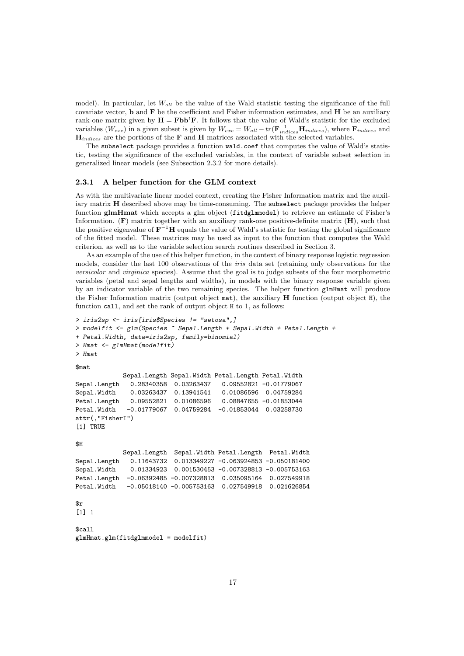model). In particular, let  $W_{all}$  be the value of the Wald statistic testing the significance of the full covariate vector,  $\bf{b}$  and  $\bf{F}$  be the coefficient and Fisher information estimates, and  $\bf{H}$  be an auxiliary rank-one matrix given by  $H = Fbb^tF$ . It follows that the value of Wald's statistic for the excluded variables ( $W_{exc}$ ) in a given subset is given by  $W_{exc} = W_{all} - tr(\mathbf{F}_{indices}^{-1} \mathbf{H}_{indices})$ , where  $\mathbf{F}_{indices}$  and  $H_{indices}$  are the portions of the F and H matrices associated with the selected variables.

The subselect package provides a function wald.coef that computes the value of Wald's statistic, testing the significance of the excluded variables, in the context of variable subset selection in generalized linear models (see Subsection 2.3.2 for more details).

### 2.3.1 A helper function for the GLM context

As with the multivariate linear model context, creating the Fisher Information matrix and the auxiliary matrix H described above may be time-consuming. The subselect package provides the helper function glmHmat which accepts a glm object (fitdglmmodel) to retrieve an estimate of Fisher's Information.  $(F)$  matrix together with an auxiliary rank-one positive-definite matrix  $(H)$ , such that the positive eigenvalue of  $\mathbf{F}^{-1}\mathbf{H}$  equals the value of Wald's statistic for testing the global significance of the fitted model. These matrices may be used as input to the function that computes the Wald criterion, as well as to the variable selection search routines described in Section 3.

As an example of the use of this helper function, in the context of binary response logistic regression models, consider the last 100 observations of the iris data set (retaining only observations for the versicolor and virginica species). Assume that the goal is to judge subsets of the four morphometric variables (petal and sepal lengths and widths), in models with the binary response variable given by an indicator variable of the two remaining species. The helper function glmHmat will produce the Fisher Information matrix (output object  $\text{mat}$ ), the auxiliary **H** function (output object H), the function call, and set the rank of output object H to 1, as follows:

```
> iris2sp <- iris[iris$Species != "setosa",]
> modelfit <- glm(Species ~ Sepal.Length + Sepal.Width + Petal.Length +
+ Petal.Width, data=iris2sp, family=binomial)
> Hmat <- glmHmat(modelfit)
> Hmat
$mat
             Sepal.Length Sepal.Width Petal.Length Petal.Width
Sepal.Length 0.28340358 0.03263437 0.09552821 -0.01779067
Sepal.Width 0.03263437 0.13941541 0.01086596 0.04759284
Petal.Length 0.09552821 0.01086596 0.08847655 -0.01853044
Petal.Width -0.01779067 0.04759284 -0.01853044 0.03258730
attr(,"FisherI")
[1] TRUE
$H
             Sepal.Length Sepal.Width Petal.Length Petal.Width
Sepal.Length 0.11643732 0.013349227 -0.063924853 -0.050181400
Sepal.Width 0.01334923 0.001530453 -0.007328813 -0.005753163
Petal.Length -0.06392485 -0.007328813 0.035095164 0.027549918
Petal.Width -0.05018140 -0.005753163 0.027549918 0.021626854
\frac{1}{2}[1] 1
$call
glmHmat.glm(fitdglmmodel = modelfit)
```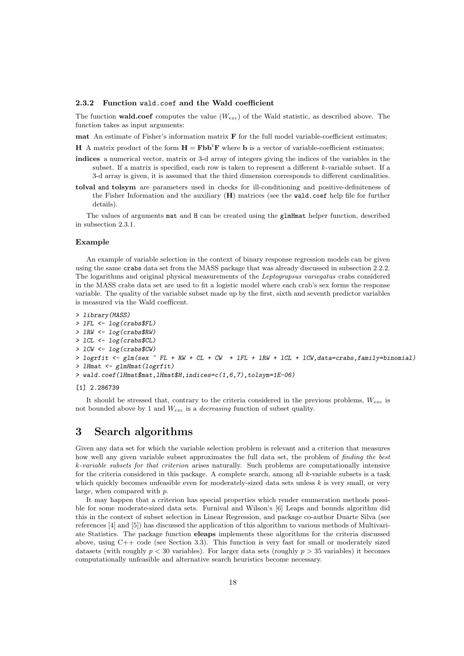#### 2.3.2 Function wald.coef and the Wald coefficient

The function **wald.coef** computes the value  $(W_{exc})$  of the Wald statistic, as described above. The function takes as input arguments:

mat An estimate of Fisher's information matrix  $\bf{F}$  for the full model variable-coefficient estimates;

H A matrix product of the form  $H = Fbb^tF$  where b is a vector of variable-coefficient estimates;

- indices a numerical vector, matrix or 3-d array of integers giving the indices of the variables in the subset. If a matrix is specified, each row is taken to represent a different k-variable subset. If a 3-d array is given, it is assumed that the third dimension corresponds to different cardinalities.
- tolval and tolsym are parameters used in checks for ill-conditioning and positive-definiteness of the Fisher Information and the auxiliary  $(H)$  matrices (see the wald.coef help file for further details).

The values of arguments mat and H can be created using the glmHmat helper function, described in subsection 2.3.1.

### Example

An example of variable selection in the context of binary response regression models can be given using the same crabs data set from the MASS package that was already discussed in subsection 2.2.2. The logarithms and original physical measurements of the Leptograpsus variegatus crabs considered in the MASS crabs data set are used to fit a logistic model where each crab's sex forms the response variable. The quality of the variable subset made up by the first, sixth and seventh predictor variables is measured via the Wald coefficent.

```
> library(MASS)
> lFL <- log(crabs$FL)
> lRW <- log(crabs$RW)
> lCL <- log(crabs$CL)
> lCW <- log(crabs$CW)
> logrfit \leq glm(sex \leq FL + RW + CL + CW + 1FL + 1RW + 1CL + 1CW, data=crabs, family=binomial)
> lHmat <- glmHmat(logrfit)
> wald.coef(lHmat$mat,lHmat$H,indices=c(1,6,7),tolsym=1E-06)
```
#### [1] 2.286739

It should be stressed that, contrary to the criteria considered in the previous problems,  $W_{exc}$  is not bounded above by 1 and  $W_{exc}$  is a *decreasing* function of subset quality.

# 3 Search algorithms

Given any data set for which the variable selection problem is relevant and a criterion that measures how well any given variable subset approximates the full data set, the problem of *finding the best* k-variable subsets for that criterion arises naturally. Such problems are computationally intensive for the criteria considered in this package. A complete search, among all k-variable subsets is a task which quickly becomes unfeasible even for moderately-sized data sets unless  $k$  is very small, or very large, when compared with p.

It may happen that a criterion has special properties which render enumeration methods possible for some moderate-sized data sets. Furnival and Wilson's [6] Leaps and bounds algorithm did this in the context of subset selection in Linear Regression, and package co-author Duarte Silva (see references [4] and [5]) has discussed the application of this algorithm to various methods of Multivariate Statistics. The package function eleaps implements these algorithms for the criteria discussed above, using  $C++$  code (see Section 3.3). This function is very fast for small or moderately sized datasets (with roughly  $p < 30$  variables). For larger data sets (roughly  $p > 35$  variables) it becomes computationally unfeasible and alternative search heuristics become necessary.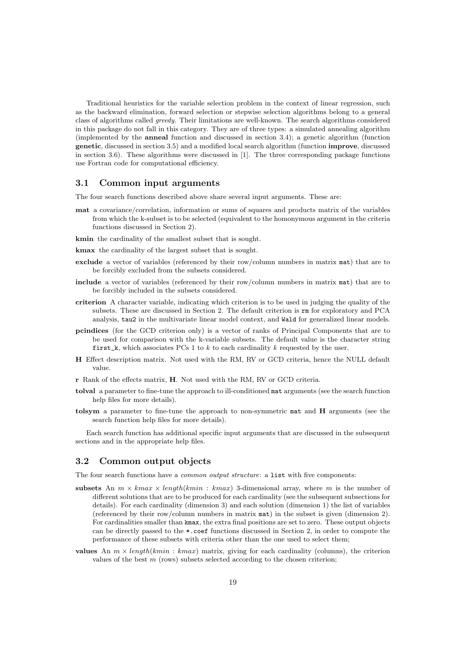Traditional heuristics for the variable selection problem in the context of linear regression, such as the backward elimination, forward selection or stepwise selection algorithms belong to a general class of algorithms called greedy. Their limitations are well-known. The search algorithms considered in this package do not fall in this category. They are of three types: a simulated annealing algorithm (implemented by the anneal function and discussed in section 3.4); a genetic algorithm (function genetic, discussed in section 3.5) and a modified local search algorithm (function improve, discussed in section 3.6). These algorithms were discussed in [1]. The three corresponding package functions use Fortran code for computational efficiency.

### 3.1 Common input arguments

The four search functions described above share several input arguments. These are:

- mat a covariance/correlation, information or sums of squares and products matrix of the variables from which the k-subset is to be selected (equivalent to the homonymous argument in the criteria functions discussed in Section 2).
- kmin the cardinality of the smallest subset that is sought.
- kmax the cardinality of the largest subset that is sought.
- exclude a vector of variables (referenced by their row/column numbers in matrix mat) that are to be forcibly excluded from the subsets considered.
- include a vector of variables (referenced by their row/column numbers in matrix mat) that are to be forcibly included in the subsets considered.
- criterion A character variable, indicating which criterion is to be used in judging the quality of the subsets. These are discussed in Section 2. The default criterion is rm for exploratory and PCA analysis, tau2 in the multivariate linear model context, and Wald for generalized linear models.
- pcindices (for the GCD criterion only) is a vector of ranks of Principal Components that are to be used for comparison with the k-variable subsets. The default value is the character string first k, which associates PCs 1 to k to each cardinality k requested by the user.
- H Effect description matrix. Not used with the RM, RV or GCD criteria, hence the NULL default value.
- r Rank of the effects matrix, H. Not used with the RM, RV or GCD criteria.
- tolval a parameter to fine-tune the approach to ill-conditioned mat arguments (see the search function help files for more details).
- tolsym a parameter to fine-tune the approach to non-symmetric mat and H arguments (see the search function help files for more details).

Each search function has additional specific input arguments that are discussed in the subsequent sections and in the appropriate help files.

### 3.2 Common output objects

The four search functions have a *common output structure*: a list with five components:

- subsets An  $m \times kmax \times length(kmin : kmax)$  3-dimensional array, where m is the number of different solutions that are to be produced for each cardinality (see the subsequent subsections for details). For each cardinality (dimension 3) and each solution (dimension 1) the list of variables (referenced by their row/column numbers in matrix  $\text{mat}$ ) in the subset is given (dimension 2). For cardinalities smaller than kmax, the extra final positions are set to zero. These output objects can be directly passed to the  $\ast$ .coef functions discussed in Section 2, in order to compute the performance of these subsets with criteria other than the one used to select them;
- **values** An  $m \times length(kmin : kmax)$  matrix, giving for each cardinality (columns), the criterion values of the best  $m$  (rows) subsets selected according to the chosen criterion;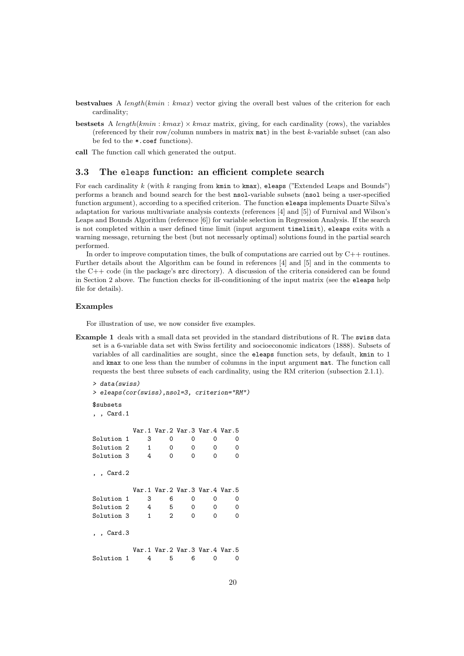- bestvalues A length( $kmin : kmax$ ) vector giving the overall best values of the criterion for each cardinality;
- bestsets A length(kmin : kmax)  $\times$  kmax matrix, giving, for each cardinality (rows), the variables (referenced by their row/column numbers in matrix  $\text{mat}$ ) in the best k-variable subset (can also be fed to the \*.coef functions).
- call The function call which generated the output.

### 3.3 The eleaps function: an efficient complete search

For each cardinality k (with k ranging from  $kmin$  to kmax), eleaps ("Extended Leaps and Bounds") performs a branch and bound search for the best nsol-variable subsets (nsol being a user-specified function argument), according to a specified criterion. The function eleaps implements Duarte Silva's adaptation for various multivariate analysis contexts (references [4] and [5]) of Furnival and Wilson's Leaps and Bounds Algorithm (reference [6]) for variable selection in Regression Analysis. If the search is not completed within a user defined time limit (input argument timelimit), eleaps exits with a warning message, returning the best (but not necessarly optimal) solutions found in the partial search performed.

In order to improve computation times, the bulk of computations are carried out by C++ routines. Further details about the Algorithm can be found in references [4] and [5] and in the comments to the  $C++$  code (in the package's  $src$  directory). A discussion of the criteria considered can be found in Section 2 above. The function checks for ill-conditioning of the input matrix (see the eleaps help file for details).

### Examples

For illustration of use, we now consider five examples.

Example 1 deals with a small data set provided in the standard distributions of R. The swiss data set is a 6-variable data set with Swiss fertility and socioeconomic indicators (1888). Subsets of variables of all cardinalities are sought, since the eleaps function sets, by default, kmin to 1 and kmax to one less than the number of columns in the input argument mat. The function call requests the best three subsets of each cardinality, using the RM criterion (subsection 2.1.1).

```
> data(swiss)
> eleaps(cor(swiss),nsol=3, criterion="RM")
$subsets
, , Card.1
        Var.1 Var.2 Var.3 Var.4 Var.5
Solution 1 3 0 0 0 0
Solution 2 1 0 0 0 0
Solution 3 4 0 0 0 0
, , Card.2
        Var.1 Var.2 Var.3 Var.4 Var.5
Solution 1 3 6 0 0 0
Solution 2 4 5 0 0 0
Solution 3    1    2    0    0    0
, , Card.3
        Var.1 Var.2 Var.3 Var.4 Var.5
Solution 1 4 5 6 0 0
```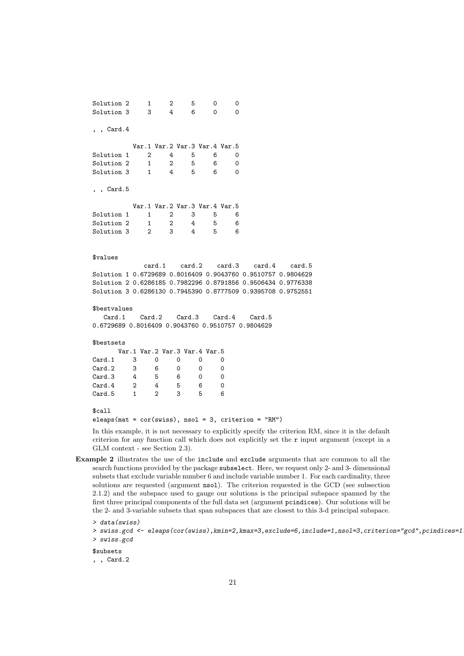Solution 2 1 2 5 0 0 Solution 3 3 4 6 0 0 , , Card.4 Var.1 Var.2 Var.3 Var.4 Var.5 Solution 1 2 4 5 6 0 Solution 2 1 2 5 6 0 Solution 3 1 4 5 6 0 , , Card.5 Var.1 Var.2 Var.3 Var.4 Var.5 Solution 1 1 2 3 5 6 Solution 2 1 2 4 5 6 Solution 3 2 3 4 5 6 \$values card.1 card.2 card.3 card.4 card.5 Solution 1 0.6729689 0.8016409 0.9043760 0.9510757 0.9804629 Solution 2 0.6286185 0.7982296 0.8791856 0.9506434 0.9776338 Solution 3 0.6286130 0.7945390 0.8777509 0.9395708 0.9752551 \$bestvalues Card.1 Card.2 Card.3 Card.4 Card.5 0.6729689 0.8016409 0.9043760 0.9510757 0.9804629 \$bestsets Var.1 Var.2 Var.3 Var.4 Var.5 Card.1 3 0 0 0 0 Card.2 3 6 0 0 0 Card.3 4 5 6 0 0 Card.4 2 4 5 6 0 Card.5 1 2 3 5 6 \$call eleaps(mat = cor(swiss), nsol = 3, criterion = "RM")

In this example, it is not necessary to explicitly specify the criterion RM, since it is the default criterion for any function call which does not explicitly set the  $r$  input argument (except in a GLM context - see Section 2.3).

Example 2 illustrates the use of the include and exclude arguments that are common to all the search functions provided by the package subselect. Here, we request only 2- and 3- dimensional subsets that exclude variable number 6 and include variable number 1. For each cardinality, three solutions are requested (argument nsol). The criterion requested is the GCD (see subsection 2.1.2) and the subspace used to gauge our solutions is the principal subspace spanned by the first three principal components of the full data set (argument pcindices). Our solutions will be the 2- and 3-variable subsets that span subspaces that are closest to this 3-d principal subspace.

```
> data(swiss)
```
\$subsets

, , Card.2

<sup>&</sup>gt; swiss.gcd <- eleaps(cor(swiss),kmin=2,kmax=3,exclude=6,include=1,nsol=3,criterion="gcd",pcindices=1:3) > swiss.gcd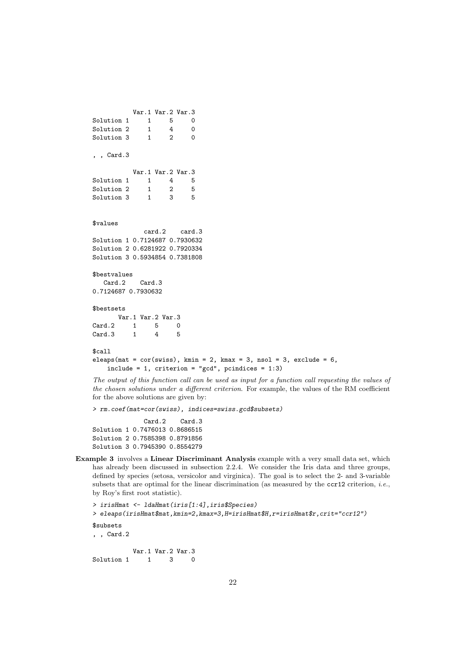```
Var.1 Var.2 Var.3
Solution 1 1 5 0
Solution 2 1 4 0
Solution 3 1 2 0
, , Card.3
         Var.1 Var.2 Var.3
Solution 1 1 4 5
Solution 2 1 2 5
Solution 3 1 3 5
$values
           card.2 card.3
Solution 1 0.7124687 0.7930632
Solution 2 0.6281922 0.7920334
Solution 3 0.5934854 0.7381808
$bestvalues
  Card.2 Card.3
0.7124687 0.7930632
$bestsets
     Var.1 Var.2 Var.3
Card.2 1 5 0
Card.3 1 4 5
$call
eleaps(mat = cor(swiss), kmin = 2, kmax = 3, nsol = 3, exclude = 6,
   include = 1, criterion = "gcd", pcindices = 1:3)
```
The output of this function call can be used as input for a function call requesting the values of the chosen solutions under a different criterion. For example, the values of the RM coefficient for the above solutions are given by:

> rm.coef(mat=cor(swiss), indices=swiss.gcd\$subsets)

Card.2 Card.3 Solution 1 0.7476013 0.8686515 Solution 2 0.7585398 0.8791856 Solution 3 0.7945390 0.8554279

Example 3 involves a Linear Discriminant Analysis example with a very small data set, which has already been discussed in subsection 2.2.4. We consider the Iris data and three groups, defined by species (setosa, versicolor and virginica). The goal is to select the 2- and 3-variable subsets that are optimal for the linear discrimination (as measured by the  $ccr12$  criterion, *i.e.*, by Roy's first root statistic).

```
> irisHmat <- ldaHmat(iris[1:4],iris$Species)
> eleaps(irisHmat$mat,kmin=2,kmax=3,H=irisHmat$H,r=irisHmat$r,crit="ccr12")
$subsets
, , Card.2
          Var.1 Var.2 Var.3
Solution 1 1 3 0
```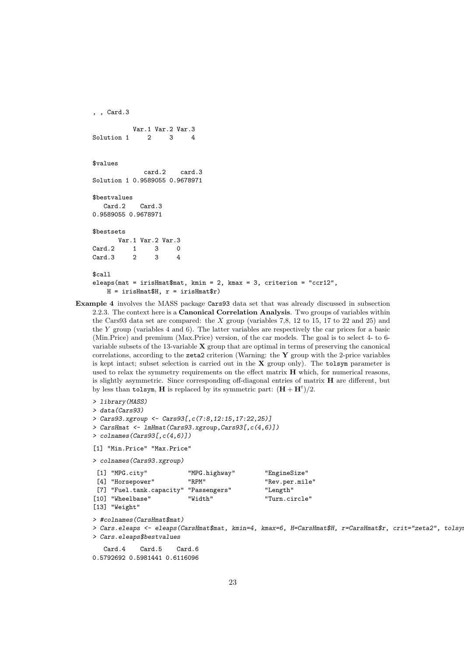```
, , Card.3
         Var.1 Var.2 Var.3
Solution 1 2 3 4
$values
            card.2 card.3
Solution 1 0.9589055 0.9678971
$bestvalues
  Card.2 Card.3
0.9589055 0.9678971
$bestsets
      Var.1 Var.2 Var.3
Card.2 1 3 0
Card.3 2 3 4
$call
eleaps(mat = irisHmat$mat, kmin = 2, kmax = 3, criterion = "ccr12",
   H = irishmat H, r = irishmat r)
```
Example 4 involves the MASS package Cars93 data set that was already discussed in subsection 2.2.3. The context here is a Canonical Correlation Analysis. Two groups of variables within the Cars93 data set are compared: the  $X$  group (variables 7,8, 12 to 15, 17 to 22 and 25) and the Y group (variables 4 and 6). The latter variables are respectively the car prices for a basic (Min.Price) and premium (Max.Price) version, of the car models. The goal is to select 4- to 6 variable subsets of the  $13$ -variable  $X$  group that are optimal in terms of preserving the canonical correlations, according to the zeta2 criterion (Warning: the  $Y$  group with the 2-price variables is kept intact; subset selection is carried out in the X group only). The tolsym parameter is used to relax the symmetry requirements on the effect matrix H which, for numerical reasons, is slightly asymmetric. Since corresponding off-diagonal entries of matrix H are different, but by less than tolsym, H is replaced by its symmetric part:  $(H + H<sup>t</sup>)/2$ .

```
> library(MASS)
```

```
> data(Cars93)
```

```
> Cars93.xgroup <- Cars93[,c(7:8,12:15,17:22,25)]
```

```
> CarsHmat <- lmHmat(Cars93.xgroup,Cars93[,c(4,6)])
```

```
> colnames(Cars93[,c(4,6)])
```

```
[1] "Min.Price" "Max.Price"
```
> colnames(Cars93.xgroup)

| $[1]$ "MPG.city"                      | "MPG.highway" | "EngineSize"   |
|---------------------------------------|---------------|----------------|
| [4] "Horsepower"                      | "RPM"         | "Rev.per.mile" |
| [7] "Fuel.tank.capacity" "Passengers" |               | "Length"       |
| [10] "Wheelbase"                      | "Width"       | "Turn.circle"  |
| $[13]$ "Weight"                       |               |                |

> #colnames(CarsHmat\$mat)

```
> Cars.eleaps <- eleaps(CarsHmat$mat, kmin=4, kmax=6, H=CarsHmat$H, r=CarsHmat$r, crit="zeta2", tolsym=1e-9)
> Cars.eleaps$bestvalues
```

```
Card.4 Card.5 Card.6
0.5792692 0.5981441 0.6116096
```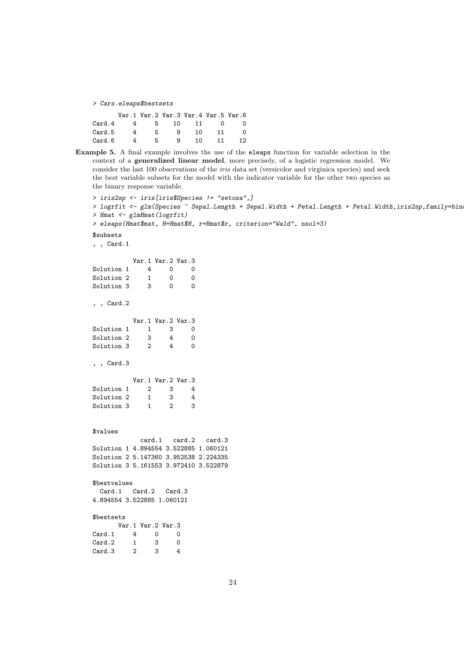> Cars.eleaps\$bestsets

|        |         |   | Var.1 Var.2 Var.3 Var.4 Var.5 Var.6 |    |    |
|--------|---------|---|-------------------------------------|----|----|
| Card.4 |         |   | 4 5 10 11 0                         |    |    |
| Card.5 | 4<br>5  | 9 | 10.                                 | 11 |    |
| Card.6 | 4<br>5. | 9 | 1 O                                 | 11 | 12 |

Example 5. A final example involves the use of the eleaps function for variable selection in the context of a generalized linear model, more precisely, of a logistic regression model. We consider the last 100 observations of the iris data set (versicolor and virginica species) and seek the best variable subsets for the model with the indicator variable for the other two species as the binary response variable.

```
> iris2sp <- iris[iris$Species != "setosa",]
> logrfit <- glm(Species ~ Sepal.Length + Sepal.Width + Petal.Length + Petal.Width, iris2sp, family=bin
> Hmat <- glmHmat(logrfit)
> eleaps(Hmat$mat, H=Hmat$H, r=Hmat$r, criterion="Wald", nsol=3)
$subsets
, , Card.1
          Var.1 Var.2 Var.3
Solution 1 4 0 0<br>Solution 2 1 0 0
Solution 2
Solution 3 3 0 0
, , Card.2
          Var.1 Var.2 Var.3
Solution 1 1 3 0<br>Solution 2 3 4 0
Solution 2 3 4 0<br>Solution 3 2 4 0
Solution 3
, , Card.3
          Var.1 Var.2 Var.3
Solution 1 2 3 4
Solution 2  1  3  4
Solution 3 1 2 3
$values
           card.1 card.2 card.3
Solution 1 4.894554 3.522885 1.060121
Solution 2 5.147360 3.952538 2.224335
Solution 3 5.161553 3.972410 3.522879
$bestvalues
 Card.1 Card.2 Card.3
4.894554 3.522885 1.060121
$bestsets
  Var.1 Var.2 Var.3
Card.1  4  0  0
Card.2 1 3 0
Card.3 2 3 4
```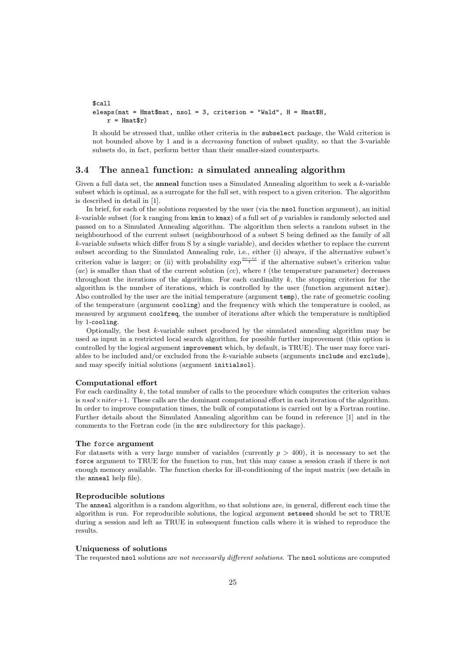```
$call
eleaps(mat = Hmat$mat, nsol = 3, criterion = "Wald", H = Hmat$H,
    r = Hmat\text{fr})
```
It should be stressed that, unlike other criteria in the subselect package, the Wald criterion is not bounded above by 1 and is a *decreasing* function of subset quality, so that the 3-variable subsets do, in fact, perform better than their smaller-sized counterparts.

### 3.4 The anneal function: a simulated annealing algorithm

Given a full data set, the **anneal** function uses a Simulated Annealing algorithm to seek a  $k$ -variable subset which is optimal, as a surrogate for the full set, with respect to a given criterion. The algorithm is described in detail in [1].

In brief, for each of the solutions requested by the user (via the nsol function argument), an initial k-variable subset (for k ranging from  $kmin$  to  $kmax$ ) of a full set of p variables is randomly selected and passed on to a Simulated Annealing algorithm. The algorithm then selects a random subset in the neighbourhood of the current subset (neighbourhood of a subset S being defined as the family of all k-variable subsets which differ from S by a single variable), and decides whether to replace the current subset according to the Simulated Annealing rule, i.e., either (i) always, if the alternative subset's criterion value is larger; or (ii) with probability  $\exp^{\frac{ac-cc}{t}}$  if the alternative subset's criterion value (ac) is smaller than that of the current solution  $(cc)$ , where  $t$  (the temperature parameter) decreases throughout the iterations of the algorithm. For each cardinality  $k$ , the stopping criterion for the algorithm is the number of iterations, which is controlled by the user (function argument niter). Also controlled by the user are the initial temperature (argument temp), the rate of geometric cooling of the temperature (argument cooling) and the frequency with which the temperature is cooled, as measured by argument coolfreq, the number of iterations after which the temperature is multiplied by 1-cooling.

Optionally, the best  $k$ -variable subset produced by the simulated annealing algorithm may be used as input in a restricted local search algorithm, for possible further improvement (this option is controlled by the logical argument improvement which, by default, is TRUE). The user may force variables to be included and/or excluded from the  $k$ -variable subsets (arguments include and exclude), and may specify initial solutions (argument initialsol).

#### Computational effort

For each cardinality  $k$ , the total number of calls to the procedure which computes the criterion values is  $nsol \times niter+1$ . These calls are the dominant computational effort in each iteration of the algorithm. In order to improve computation times, the bulk of computations is carried out by a Fortran routine. Further details about the Simulated Annealing algorithm can be found in reference [1] and in the comments to the Fortran code (in the src subdirectory for this package).

#### The force argument

For datasets with a very large number of variables (currently  $p > 400$ ), it is necessary to set the force argument to TRUE for the function to run, but this may cause a session crash if there is not enough memory available. The function checks for ill-conditioning of the input matrix (see details in the anneal help file).

#### Reproducible solutions

The anneal algorithm is a random algorithm, so that solutions are, in general, different each time the algorithm is run. For reproducible solutions, the logical argument setseed should be set to TRUE during a session and left as TRUE in subsequent function calls where it is wished to reproduce the results.

### Uniqueness of solutions

The requested nsol solutions are not necessarily different solutions. The nsol solutions are computed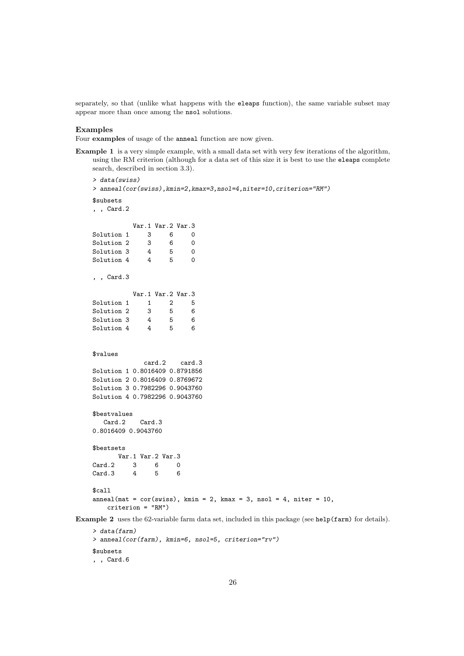separately, so that (unlike what happens with the eleaps function), the same variable subset may appear more than once among the nsol solutions.

#### Examples

Four examples of usage of the anneal function are now given.

Example 1 is a very simple example, with a small data set with very few iterations of the algorithm, using the RM criterion (although for a data set of this size it is best to use the eleaps complete search, described in section 3.3).

```
> data(swiss)
    > anneal(cor(swiss),kmin=2,kmax=3,nsol=4,niter=10,criterion="RM")
    $subsets
     , , Card.2
                Var.1 Var.2 Var.3
    Solution 1 3 6 0<br>Solution 2 3 6 0
    Solution 2 3 6 0<br>Solution 3 4 5 0
    Solution 3
    Solution 4 4 5 0
     , , Card.3
                Var.1 Var.2 Var.3<br>1 2 5
    Solution 1 1 2 5<br>Solution 2 3 5 6
    Solution 2 3 5<br>Solution 3 4 5
    Solution 3 4 5 6<br>Solution 4 4 5 6
    Solution 4
     $values
                    card.2 card.3
    Solution 1 0.8016409 0.8791856
    Solution 2 0.8016409 0.8769672
    Solution 3 0.7982296 0.9043760
    Solution 4 0.7982296 0.9043760
     $bestvalues
       Card.2 Card.3
     0.8016409 0.9043760
     $bestsets
          Var.1 Var.2 Var.3
    Card.2 3 6 0<br>Card.3 4 5 6
    Card.3$call
     anneal(mat = cor(swiss), kmin = 2, kmax = 3, nsol = 4, niter = 10,
         criterion = "RM")
Example 2 uses the 62-variable farm data set, included in this package (see help(farm) for details).
```

```
> data(farm)
> anneal(cor(farm), kmin=6, nsol=5, criterion="rv")
$subsets
, , Card.6
```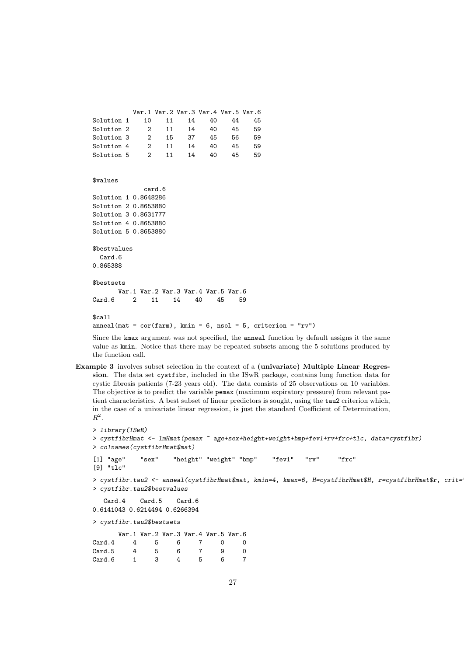```
Var.1 Var.2 Var.3 Var.4 Var.5 Var.6
Solution 1 10 11 14 40 44 45
Solution 2 2 11 14 40 45 59
Solution 3 2 15 37 45 56 59
Solution 4   2   11   14   40   45   59
Solution 5  2  11  14  40  45  59
$values
            card.6
Solution 1 0.8648286
Solution 2 0.8653880
Solution 3 0.8631777
Solution 4 0.8653880
Solution 5 0.8653880
$bestvalues
 Card<sub>6</sub>
0.865388
$bestsets
      Var.1 Var.2 Var.3 Var.4 Var.5 Var.6
Card.6 2 11 14 40 45 59
$call
anneal(mat = cor(farm), kmin = 6, nsol = 5, criterion = "rv")
```
Since the kmax argument was not specified, the anneal function by default assigns it the same value as kmin. Notice that there may be repeated subsets among the 5 solutions produced by the function call.

Example 3 involves subset selection in the context of a (univariate) Multiple Linear Regression. The data set cystfibr, included in the ISwR package, contains lung function data for cystic fibrosis patients (7-23 years old). The data consists of 25 observations on 10 variables. The objective is to predict the variable pemax (maximum expiratory pressure) from relevant patient characteristics. A best subset of linear predictors is sought, using the tau2 criterion which, in the case of a univariate linear regression, is just the standard Coefficient of Determination,  $R^2$ .

```
> library(ISwR)
> cystfibrHmat <- lmHmat(pemax ~ age+sex+height+weight+bmp+fev1+rv+frc+tlc, data=cystfibr)
> colnames(cystfibrHmat$mat)
[1] "age" "sex" "height" "weight" "bmp" "fev1" "rv" "frc"
[9] "tlc"
> cystfibr.tau2 <- anneal(cystfibrHmat$mat, kmin=4, kmax=6, H=cystfibrHmat$H, r=cystfibrHmat$r, crit=
> cystfibr.tau2$bestvalues
  Card.4 Card.5 Card.6
0.6141043 0.6214494 0.6266394
> cystfibr.tau2$bestsets
      Var.1 Var.2 Var.3 Var.4 Var.5 Var.6
Card.4  4  5  6  7  0  0
Card.5 4 5 6 7 9 0
Card.6 1 3 4 5 6 7
```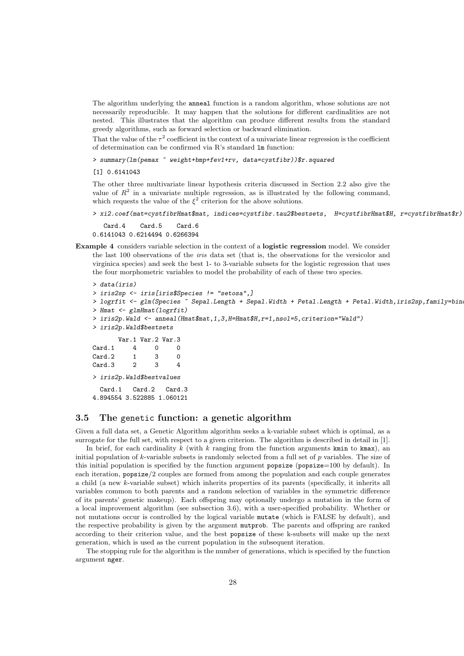The algorithm underlying the anneal function is a random algorithm, whose solutions are not necessarily reproducible. It may happen that the solutions for different cardinalities are not nested. This illustrates that the algorithm can produce different results from the standard greedy algorithms, such as forward selection or backward elimination.

That the value of the  $\tau^2$  coefficient in the context of a univariate linear regression is the coefficient of determination can be confirmed via R's standard lm function:

> summary(lm(pemax ~ weight+bmp+fev1+rv, data=cystfibr))\$r.squared

[1] 0.6141043

The other three multivariate linear hypothesis criteria discussed in Section 2.2 also give the value of  $R^2$  in a univariate multiple regression, as is illustrated by the following command, which requests the value of the  $\xi^2$  criterion for the above solutions.

```
> xi2.coef(mat=cystfibrHmat$mat, indices=cystfibr.tau2$bestsets, H=cystfibrHmat$H, r=cystfibrHmat$r)
  Card.4 Card.5 Card.6
```
0.6141043 0.6214494 0.6266394

Example 4 considers variable selection in the context of a logistic regression model. We consider the last 100 observations of the iris data set (that is, the observations for the versicolor and virginica species) and seek the best 1- to 3-variable subsets for the logistic regression that uses the four morphometric variables to model the probability of each of these two species.

```
> data(iris)
> iris2sp <- iris[iris$Species != "setosa",]
> logrfit <- glm(Species ~ Sepal.Length + Sepal.Width + Petal.Length + Petal.Width,iris2sp,family=bin
> Hmat <- glmHmat(logrfit)
> iris2p.Wald <- anneal(Hmat$mat,1,3,H=Hmat$H,r=1,nsol=5,criterion="Wald")
> iris2p.Wald$bestsets
      Var.1 Var.2 Var.3
Card 1 4 0 0
Card.2 1 3 0
Card.3 2 3 4
> iris2p.Wald$bestvalues
 Card.1 Card.2 Card.3
4.894554 3.522885 1.060121
```
### 3.5 The genetic function: a genetic algorithm

Given a full data set, a Genetic Algorithm algorithm seeks a k-variable subset which is optimal, as a surrogate for the full set, with respect to a given criterion. The algorithm is described in detail in [1].

In brief, for each cardinality k (with k ranging from the function arguments kmin to kmax), an initial population of k-variable subsets is randomly selected from a full set of p variables. The size of this initial population is specified by the function argument popsize (popsize=100 by default). In each iteration, popsize/2 couples are formed from among the population and each couple generates a child (a new k-variable subset) which inherits properties of its parents (specifically, it inherits all variables common to both parents and a random selection of variables in the symmetric difference of its parents' genetic makeup). Each offspring may optionally undergo a mutation in the form of a local improvement algorithm (see subsection 3.6), with a user-specified probability. Whether or not mutations occur is controlled by the logical variable mutate (which is FALSE by default), and the respective probability is given by the argument mutprob. The parents and offspring are ranked according to their criterion value, and the best popsize of these k-subsets will make up the next generation, which is used as the current population in the subsequent iteration.

The stopping rule for the algorithm is the number of generations, which is specified by the function argument nger.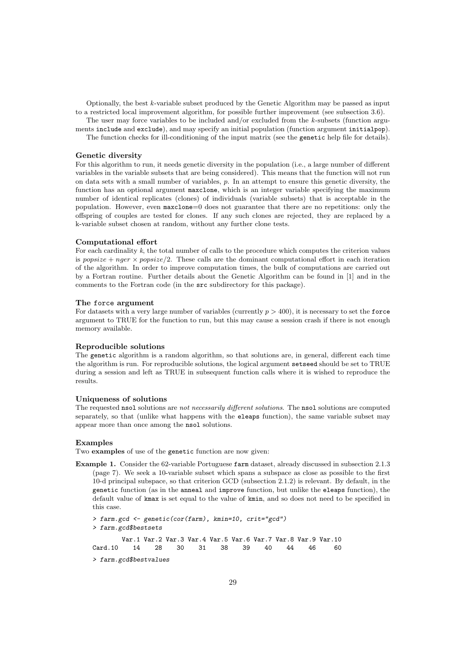Optionally, the best  $k$ -variable subset produced by the Genetic Algorithm may be passed as input to a restricted local improvement algorithm, for possible further improvement (see subsection 3.6).

The user may force variables to be included and/or excluded from the  $k$ -subsets (function arguments include and exclude), and may specify an initial population (function argument initialpop).

The function checks for ill-conditioning of the input matrix (see the genetic help file for details).

#### Genetic diversity

For this algorithm to run, it needs genetic diversity in the population (i.e., a large number of different variables in the variable subsets that are being considered). This means that the function will not run on data sets with a small number of variables,  $p$ . In an attempt to ensure this genetic diversity, the function has an optional argument maxclone, which is an integer variable specifying the maximum number of identical replicates (clones) of individuals (variable subsets) that is acceptable in the population. However, even maxclone=0 does not guarantee that there are no repetitions: only the offspring of couples are tested for clones. If any such clones are rejected, they are replaced by a k-variable subset chosen at random, without any further clone tests.

### Computational effort

For each cardinality  $k$ , the total number of calls to the procedure which computes the criterion values is popsize + nger  $\times$  popsize/2. These calls are the dominant computational effort in each iteration of the algorithm. In order to improve computation times, the bulk of computations are carried out by a Fortran routine. Further details about the Genetic Algorithm can be found in [1] and in the comments to the Fortran code (in the src subdirectory for this package).

#### The force argument

For datasets with a very large number of variables (currently  $p > 400$ ), it is necessary to set the force argument to TRUE for the function to run, but this may cause a session crash if there is not enough memory available.

### Reproducible solutions

The genetic algorithm is a random algorithm, so that solutions are, in general, different each time the algorithm is run. For reproducible solutions, the logical argument setseed should be set to TRUE during a session and left as TRUE in subsequent function calls where it is wished to reproduce the results.

### Uniqueness of solutions

The requested nsol solutions are not necessarily different solutions. The nsol solutions are computed separately, so that (unlike what happens with the eleaps function), the same variable subset may appear more than once among the nsol solutions.

### Examples

Two examples of use of the genetic function are now given:

Example 1. Consider the 62-variable Portuguese farm dataset, already discussed in subsection 2.1.3 (page 7). We seek a 10-variable subset which spans a subspace as close as possible to the first 10-d principal subspace, so that criterion GCD (subsection 2.1.2) is relevant. By default, in the genetic function (as in the anneal and improve function, but unlike the eleaps function), the default value of kmax is set equal to the value of kmin, and so does not need to be specified in this case.

> farm.gcd <- genetic(cor(farm), kmin=10, crit="gcd") > farm.gcd\$bestsets Var.1 Var.2 Var.3 Var.4 Var.5 Var.6 Var.7 Var.8 Var.9 Var.10 Card.10 14 28 30 31 38 39 40 44 46 60

> farm.gcd\$bestvalues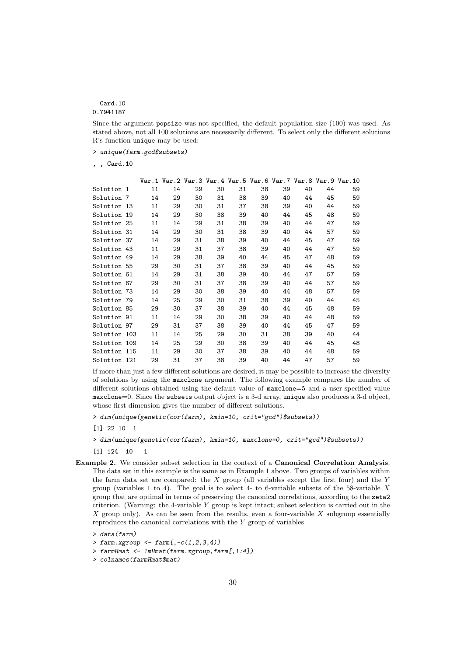# Card.10

0.7941187

Since the argument popsize was not specified, the default population size (100) was used. As stated above, not all 100 solutions are necessarily different. To select only the different solutions R's function unique may be used:

> unique(farm.gcd\$subsets)

, , Card.10

|              |    |    |    |    |    |    |    |    |    | Var.1 Var.2 Var.3 Var.4 Var.5 Var.6 Var.7 Var.8 Var.9 Var.10 |
|--------------|----|----|----|----|----|----|----|----|----|--------------------------------------------------------------|
| Solution 1   | 11 | 14 | 29 | 30 | 31 | 38 | 39 | 40 | 44 | 59                                                           |
| Solution 7   | 14 | 29 | 30 | 31 | 38 | 39 | 40 | 44 | 45 | 59                                                           |
| Solution 13  | 11 | 29 | 30 | 31 | 37 | 38 | 39 | 40 | 44 | 59                                                           |
| Solution 19  | 14 | 29 | 30 | 38 | 39 | 40 | 44 | 45 | 48 | 59                                                           |
| Solution 25  | 11 | 14 | 29 | 31 | 38 | 39 | 40 | 44 | 47 | 59                                                           |
| Solution 31  | 14 | 29 | 30 | 31 | 38 | 39 | 40 | 44 | 57 | 59                                                           |
| Solution 37  | 14 | 29 | 31 | 38 | 39 | 40 | 44 | 45 | 47 | 59                                                           |
| Solution 43  | 11 | 29 | 31 | 37 | 38 | 39 | 40 | 44 | 47 | 59                                                           |
| Solution 49  | 14 | 29 | 38 | 39 | 40 | 44 | 45 | 47 | 48 | 59                                                           |
| Solution 55  | 29 | 30 | 31 | 37 | 38 | 39 | 40 | 44 | 45 | 59                                                           |
| Solution 61  | 14 | 29 | 31 | 38 | 39 | 40 | 44 | 47 | 57 | 59                                                           |
| Solution 67  | 29 | 30 | 31 | 37 | 38 | 39 | 40 | 44 | 57 | 59                                                           |
| Solution 73  | 14 | 29 | 30 | 38 | 39 | 40 | 44 | 48 | 57 | 59                                                           |
| Solution 79  | 14 | 25 | 29 | 30 | 31 | 38 | 39 | 40 | 44 | 45                                                           |
| Solution 85  | 29 | 30 | 37 | 38 | 39 | 40 | 44 | 45 | 48 | 59                                                           |
| Solution 91  | 11 | 14 | 29 | 30 | 38 | 39 | 40 | 44 | 48 | 59                                                           |
| Solution 97  | 29 | 31 | 37 | 38 | 39 | 40 | 44 | 45 | 47 | 59                                                           |
| Solution 103 | 11 | 14 | 25 | 29 | 30 | 31 | 38 | 39 | 40 | 44                                                           |
| Solution 109 | 14 | 25 | 29 | 30 | 38 | 39 | 40 | 44 | 45 | 48                                                           |
| Solution 115 | 11 | 29 | 30 | 37 | 38 | 39 | 40 | 44 | 48 | 59                                                           |
| Solution 121 | 29 | 31 | 37 | 38 | 39 | 40 | 44 | 47 | 57 | 59                                                           |

If more than just a few different solutions are desired, it may be possible to increase the diversity of solutions by using the maxclone argument. The following example compares the number of different solutions obtained using the default value of maxclone=5 and a user-specified value maxclone=0. Since the subsets output object is a 3-d array, unique also produces a 3-d object, whose first dimension gives the number of different solutions.

- [1] 124 10 1
- Example 2. We consider subset selection in the context of a Canonical Correlation Analysis. The data set in this example is the same as in Example 1 above. Two groups of variables within the farm data set are compared: the  $X$  group (all variables except the first four) and the  $Y$ group (variables 1 to 4). The goal is to select 4- to 6-variable subsets of the 58-variable  $X$ group that are optimal in terms of preserving the canonical correlations, according to the zeta2 criterion. (Warning: the 4-variable  $Y$  group is kept intact; subset selection is carried out in the X group only). As can be seen from the results, even a four-variable  $X$  subgroup essentially reproduces the canonical correlations with the Y group of variables

> colnames(farmHmat\$mat)

<sup>&</sup>gt; dim(unique(genetic(cor(farm), kmin=10, crit="gcd")\$subsets))

<sup>[1] 22 10 1</sup>

<sup>&</sup>gt; dim(unique(genetic(cor(farm), kmin=10, maxclone=0, crit="gcd")\$subsets))

<sup>&</sup>gt; data(farm)

<sup>&</sup>gt; farm.xgroup <- farm[,-c(1,2,3,4)]

<sup>&</sup>gt; farmHmat <- lmHmat(farm.xgroup,farm[,1:4])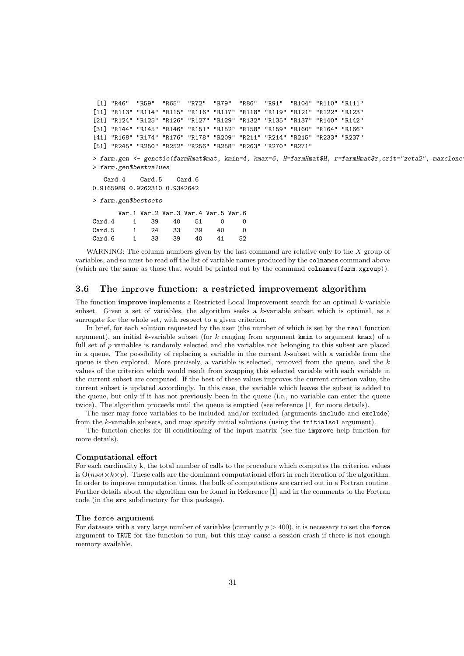```
[1] "R46" "R59" "R65" "R72" "R79" "R86" "R91" "R104" "R110" "R111"
[11] "R113" "R114" "R115" "R116" "R117" "R118" "R119" "R121" "R122" "R123"
[21] "R124" "R125" "R126" "R127" "R129" "R132" "R135" "R137" "R140" "R142"
[31] "R144" "R145" "R146" "R151" "R152" "R158" "R159" "R160" "R164" "R166"
[41] "R168" "R174" "R176" "R178" "R209" "R211" "R214" "R215" "R233" "R237"
[51] "R245" "R250" "R252" "R256" "R258" "R263" "R270" "R271"
> farm.gen <- genetic(farmHmat$mat, kmin=4, kmax=6, H=farmHmat$H, r=farmHmat$r,crit="zeta2", maxclone=0, popsize=150)
> farm.gen$bestvalues
  Card.4 Card.5 Card.6
0.9165989 0.9262310 0.9342642
> farm.gen$bestsets
      Var.1 Var.2 Var.3 Var.4 Var.5 Var.6
Card.4 1 39 40 51 0 0
Card.5 1 24 33 39 40 0
Card.6 1 33 39 40 41 52
```
WARNING: The column numbers given by the last command are relative only to the  $X$  group of variables, and so must be read off the list of variable names produced by the colnames command above (which are the same as those that would be printed out by the command colnames(farm.xgroup)).

### 3.6 The improve function: a restricted improvement algorithm

The function improve implements a Restricted Local Improvement search for an optimal k-variable subset. Given a set of variables, the algorithm seeks a k-variable subset which is optimal, as a surrogate for the whole set, with respect to a given criterion.

In brief, for each solution requested by the user (the number of which is set by the nsol function argument), an initial k-variable subset (for  $k$  ranging from argument kmin to argument kmax) of a full set of  $p$  variables is randomly selected and the variables not belonging to this subset are placed in a queue. The possibility of replacing a variable in the current  $k$ -subset with a variable from the queue is then explored. More precisely, a variable is selected, removed from the queue, and the  $k$ values of the criterion which would result from swapping this selected variable with each variable in the current subset are computed. If the best of these values improves the current criterion value, the current subset is updated accordingly. In this case, the variable which leaves the subset is added to the queue, but only if it has not previously been in the queue (i.e., no variable can enter the queue twice). The algorithm proceeds until the queue is emptied (see reference [1] for more details).

The user may force variables to be included and/or excluded (arguments include and exclude) from the k-variable subsets, and may specify initial solutions (using the initialsol argument).

The function checks for ill-conditioning of the input matrix (see the improve help function for more details).

### Computational effort

For each cardinality k, the total number of calls to the procedure which computes the criterion values is  $O(nsol \times k \times p)$ . These calls are the dominant computational effort in each iteration of the algorithm. In order to improve computation times, the bulk of computations are carried out in a Fortran routine. Further details about the algorithm can be found in Reference [1] and in the comments to the Fortran code (in the src subdirectory for this package).

#### The force argument

For datasets with a very large number of variables (currently  $p > 400$ ), it is necessary to set the force argument to TRUE for the function to run, but this may cause a session crash if there is not enough memory available.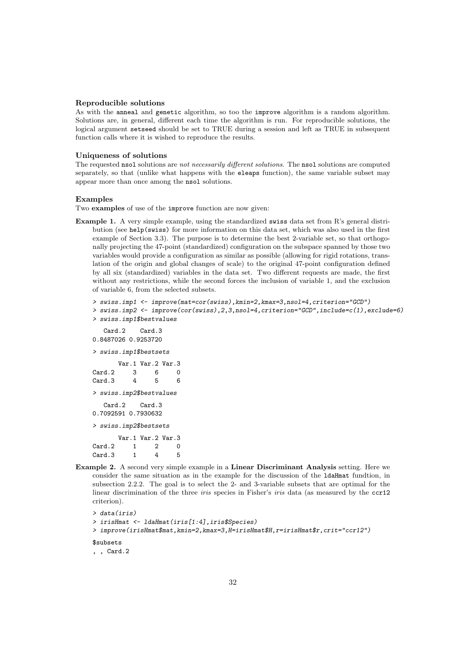#### Reproducible solutions

As with the anneal and genetic algorithm, so too the improve algorithm is a random algorithm. Solutions are, in general, different each time the algorithm is run. For reproducible solutions, the logical argument setseed should be set to TRUE during a session and left as TRUE in subsequent function calls where it is wished to reproduce the results.

### Uniqueness of solutions

The requested nsol solutions are not necessarily different solutions. The nsol solutions are computed separately, so that (unlike what happens with the eleaps function), the same variable subset may appear more than once among the nsol solutions.

### Examples

Two examples of use of the improve function are now given:

Example 1. A very simple example, using the standardized swiss data set from R's general distribution (see help(swiss) for more information on this data set, which was also used in the first example of Section 3.3). The purpose is to determine the best 2-variable set, so that orthogonally projecting the 47-point (standardized) configuration on the subspace spanned by those two variables would provide a configuration as similar as possible (allowing for rigid rotations, translation of the origin and global changes of scale) to the original 47-point configuration defined by all six (standardized) variables in the data set. Two different requests are made, the first without any restrictions, while the second forces the inclusion of variable 1, and the exclusion of variable 6, from the selected subsets.

```
> swiss.imp1 <- improve(mat=cor(swiss),kmin=2,kmax=3,nsol=4,criterion="GCD")
```
> swiss.imp2 <- improve(cor(swiss),2,3,nsol=4,criterion="GCD",include=c(1),exclude=6) > swiss.imp1\$bestvalues

```
Card.2 Card.3
0.8487026 0.9253720
> swiss.imp1$bestsets
     Var.1 Var.2 Var.3
Card.2 3 6 0
Card.3 4 5 6
> swiss.imp2$bestvalues
  Card.2 Card.3
0.7092591 0.7930632
> swiss.imp2$bestsets
     Var.1 Var.2 Var.3
Card.2 1 2 0
Card.3 1 4 5
```
Example 2. A second very simple example in a Linear Discriminant Analysis setting. Here we consider the same situation as in the example for the discussion of the ldaHmat fundtion, in subsection 2.2.2. The goal is to select the 2- and 3-variable subsets that are optimal for the linear discrimination of the three *iris* species in Fisher's *iris* data (as measured by the ccr12 criterion).

```
> data(iris)
> irisHmat <- ldaHmat(iris[1:4],iris$Species)
> improve(irisHmat$mat,kmin=2,kmax=3,H=irisHmat$H,r=irisHmat$r,crit="ccr12")
$subsets
, , Card.2
```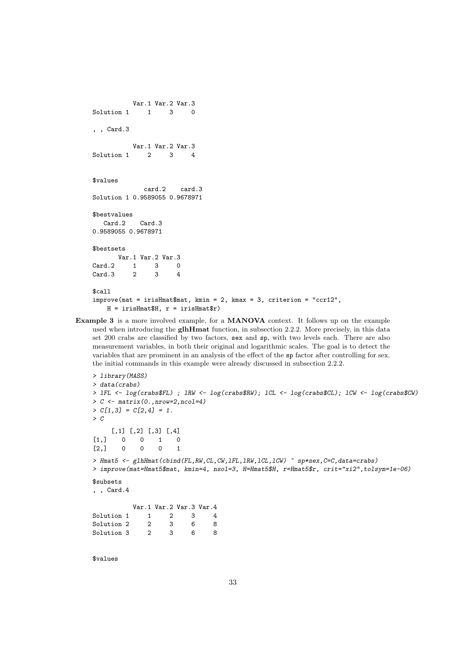```
Var.1 Var.2 Var.3
Solution 1 1 3 0
, , Card.3
          Var.1 Var.2 Var.3
Solution 1 2 3 4
$values
             card.2 card.3
Solution 1 0.9589055 0.9678971
$bestvalues
  Card.2 Card.3
0.9589055 0.9678971
$bestsets
      Var.1 Var.2 Var.3
Card.2 1 3 0<br>Card.3 2 3 4
Card.3 2 3
$call
improve(max = irisHmat$mat, kmin = 2, kmax = 3, criterion = "ccr12",H = irishmat H, r = irishmat r)
```
Example 3 is a more involved example, for a MANOVA context. It follows up on the example used when introducing the **glhHmat** function, in subsection 2.2.2. More precisely, in this data set 200 crabs are classified by two factors, sex and sp, with two levels each. There are also measurement variables, in both their original and logarithmic scales. The goal is to detect the variables that are prominent in an analysis of the effect of the sp factor after controlling for sex. the initial commands in this example were already discussed in subsection 2.2.2.

```
> library(MASS)
> data(crabs)
> lFL <- log(crabs$FL) ; lRW <- log(crabs$RW); lCL <- log(crabs$CL); lCW <- log(crabs$CW)
> C \leftarrow matrix(0., nrow=2, ncol=4)> C[1,3] = C[2,4] = 1.\geq C
    [,1] [,2] [,3] [,4]
[1,] 0 0 1 0[2,] 0 0 0 1> Hmat5 <- glhHmat(cbind(FL,RW,CL,CW,1FL,1RW,1CL,1CW) ~ sp*sex,C=C,data=crabs)
> improve(mat=Hmat5$mat, kmin=4, nsol=3, H=Hmat5$H, r=Hmat5$r, crit="xi2",tolsym=1e-06)
$subsets
, , Card.4
          Var.1 Var.2 Var.3 Var.4
Solution 1  1  2  3  4
Solution 2 2 3 6 8
Solution 3 2 3 6 8
```
\$values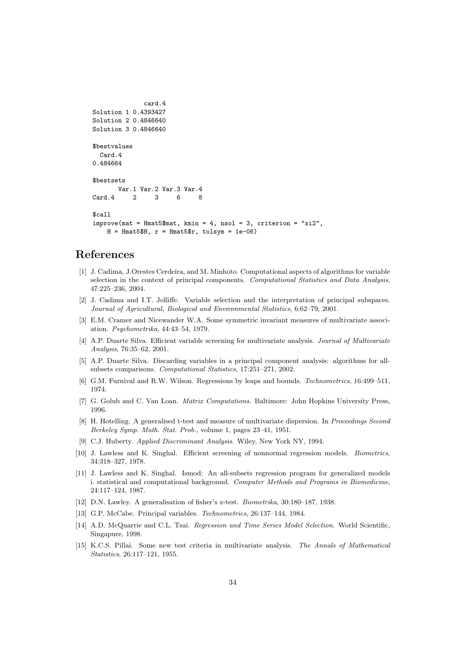```
card.4
Solution 1 0.4393427
Solution 2 0.4846640
Solution 3 0.4846640
$bestvalues
 Card.4
0.484664
$bestsets
      Var.1 Var.2 Var.3 Var.4
Card 4 2 3 6 8
$call
improve(mat = Hmat5$mat, kmin = 4, nsol = 3, criterion = "xi2",
   H = Hmat5$H, r = Hmat5$r, tolsym = 1e-06
```
# References

- [1] J. Cadima, J.Orestes Cerdeira, and M. Minhoto. Computational aspects of algorithms for variable selection in the context of principal components. Computational Statistics and Data Analysis, 47:225–236, 2004.
- [2] J. Cadima and I.T. Jolliffe. Variable selection and the interpretation of principal subspaces. Journal of Agricultural, Biological and Environmental Statistics, 6:62–79, 2001.
- [3] E.M. Cramer and Nicewander W.A. Some symmetric invariant measures of multivariate association. Psychometrika, 44:43–54, 1979.
- [4] A.P. Duarte Silva. Efficient variable screening for multivariate analysis. Journal of Multivariate Analysis, 76:35–62, 2001.
- [5] A.P. Duarte Silva. Discarding variables in a principal component analysis: algorithms for allsubsets comparisons. Computational Statistics, 17:251–271, 2002.
- [6] G.M. Furnival and R.W. Wilson. Regressions by leaps and bounds. Technometrics, 16:499–511, 1974.
- [7] G. Golub and C. Van Loan. Matrix Computations. Baltimore: John Hopkins University Press, 1996.
- [8] H. Hotelling. A generalised t-test and measure of multivariate dispersion. In Proceedings Second Berkeley Symp. Math. Stat. Prob., volume 1, pages 23–41, 1951.
- [9] C.J. Huberty. Applied Discriminant Analysis. Wiley, New York NY, 1994.
- [10] J. Lawless and K. Singhal. Efficient screening of nonnormal regression models. Biometrics, 34:318–327, 1978.
- [11] J. Lawless and K. Singhal. Ismod: An all-subsets regression program for generalized models i. statistical and computational background. Computer Methods and Programs in Biomedicine, 24:117–124, 1987.
- [12] D.N. Lawley. A generalisation of fisher's z-test. Biometrika, 30:180–187, 1938.
- [13] G.P. McCabe. Principal variables. Technometrics, 26:137–144, 1984.
- [14] A.D. McQuarrie and C.L. Tsai. Regression and Time Series Model Selection. World Scientific, Singapure, 1998.
- [15] K.C.S. Pillai. Some new test criteria in multivariate analysis. The Annals of Mathematical Statistics, 26:117–121, 1955.